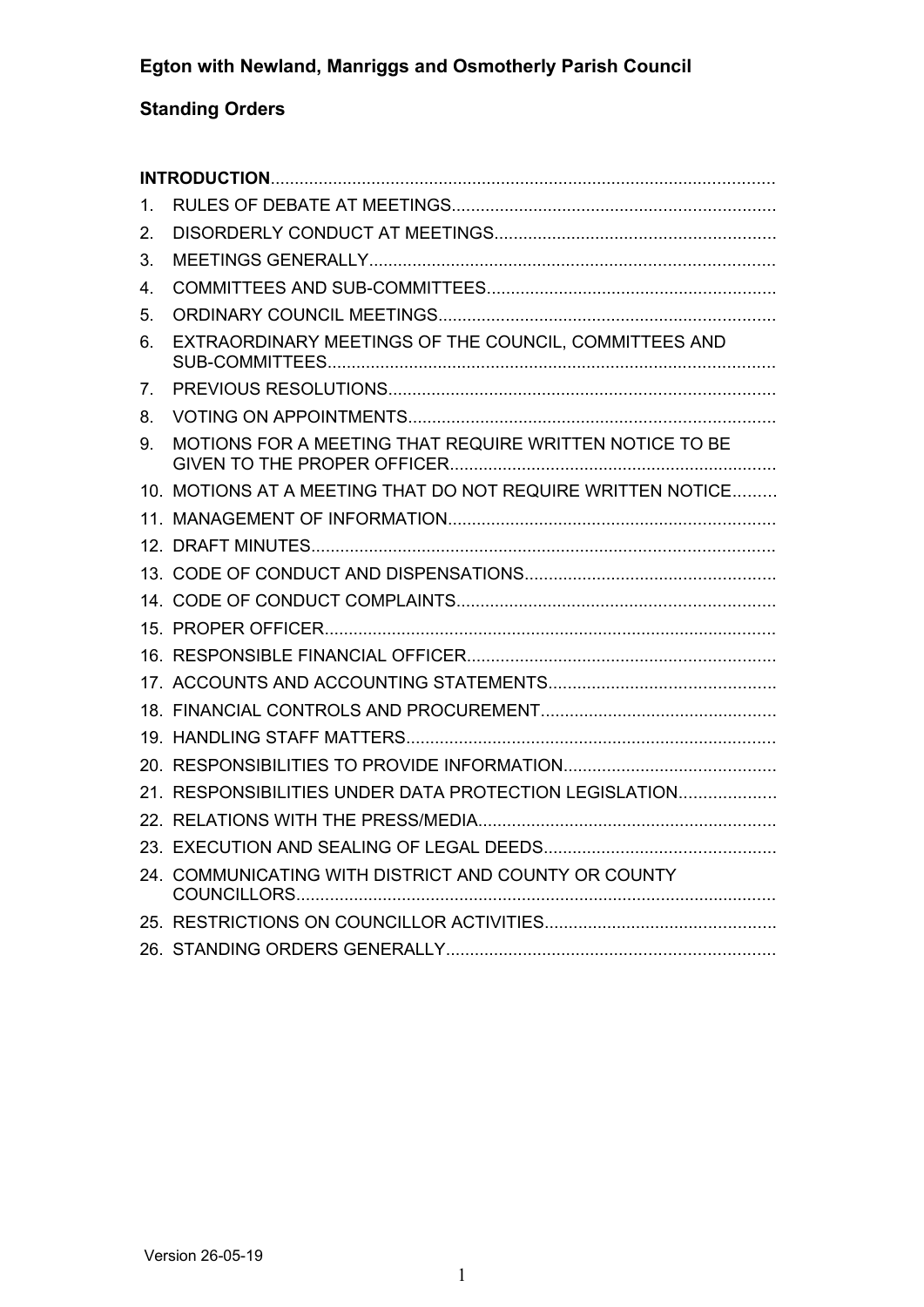# **Standing Orders**

| 1. |                                                             |  |
|----|-------------------------------------------------------------|--|
| 2. |                                                             |  |
| 3. |                                                             |  |
| 4. |                                                             |  |
| 5. |                                                             |  |
| 6. | EXTRAORDINARY MEETINGS OF THE COUNCIL, COMMITTEES AND       |  |
| 7. |                                                             |  |
| 8. |                                                             |  |
| 9. | MOTIONS FOR A MEETING THAT REQUIRE WRITTEN NOTICE TO BE     |  |
|    | 10. MOTIONS AT A MEETING THAT DO NOT REQUIRE WRITTEN NOTICE |  |
|    |                                                             |  |
|    |                                                             |  |
|    |                                                             |  |
|    |                                                             |  |
|    |                                                             |  |
|    |                                                             |  |
|    |                                                             |  |
|    |                                                             |  |
|    |                                                             |  |
|    |                                                             |  |
|    | 21. RESPONSIBILITIES UNDER DATA PROTECTION LEGISLATION      |  |
|    |                                                             |  |
|    |                                                             |  |
|    | 24. COMMUNICATING WITH DISTRICT AND COUNTY OR COUNTY        |  |
|    |                                                             |  |
|    |                                                             |  |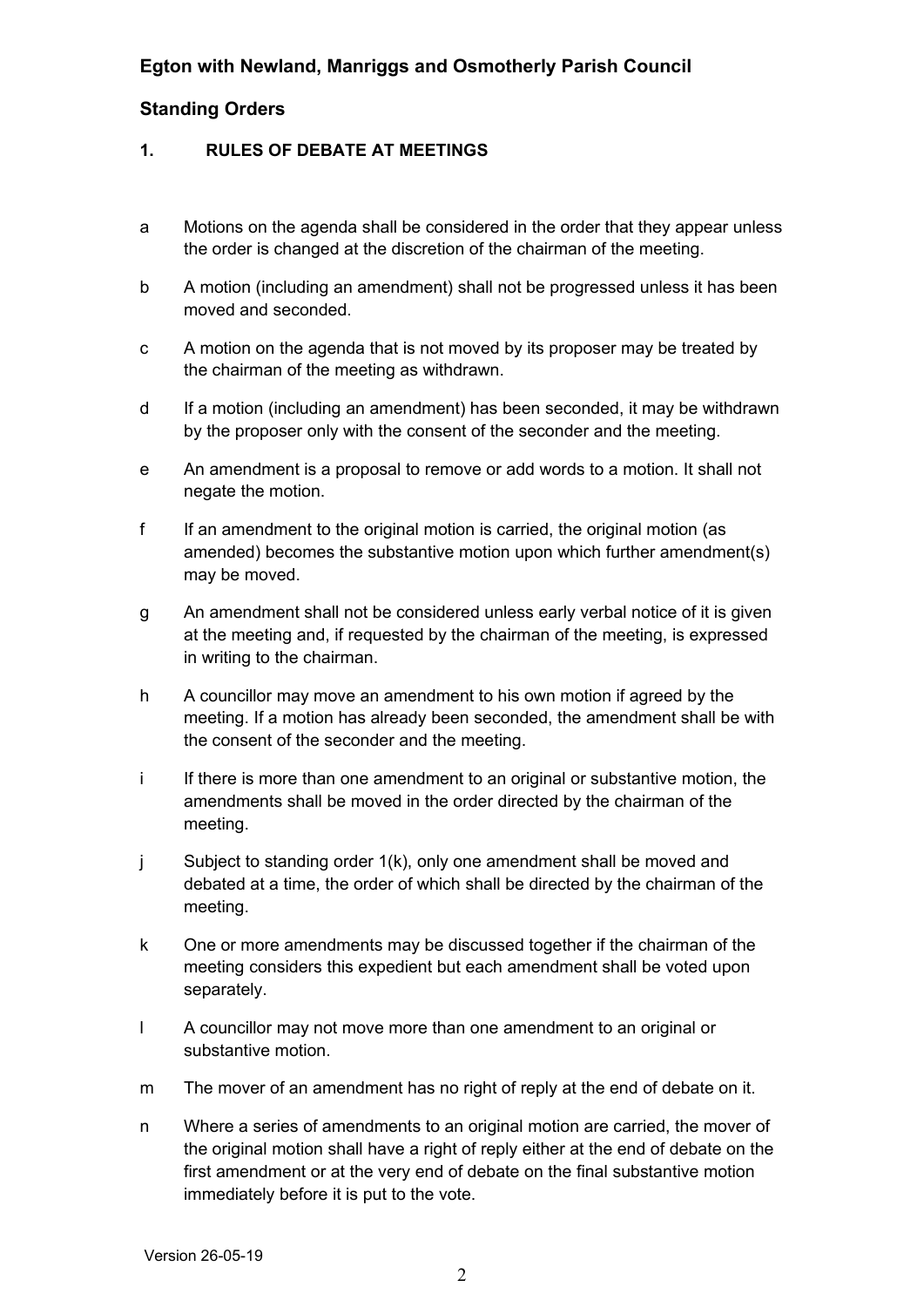## **Standing Orders**

#### <span id="page-1-0"></span>**1. RULES OF DEBATE AT MEETINGS**

- a Motions on the agenda shall be considered in the order that they appear unless the order is changed at the discretion of the chairman of the meeting.
- b A motion (including an amendment) shall not be progressed unless it has been moved and seconded.
- c A motion on the agenda that is not moved by its proposer may be treated by the chairman of the meeting as withdrawn.
- d If a motion (including an amendment) has been seconded, it may be withdrawn by the proposer only with the consent of the seconder and the meeting.
- e An amendment is a proposal to remove or add words to a motion. It shall not negate the motion.
- f If an amendment to the original motion is carried, the original motion (as amended) becomes the substantive motion upon which further amendment(s) may be moved.
- g An amendment shall not be considered unless early verbal notice of it is given at the meeting and, if requested by the chairman of the meeting, is expressed in writing to the chairman.
- h A councillor may move an amendment to his own motion if agreed by the meeting. If a motion has already been seconded, the amendment shall be with the consent of the seconder and the meeting.
- i If there is more than one amendment to an original or substantive motion, the amendments shall be moved in the order directed by the chairman of the meeting.
- j Subject to standing order 1(k), only one amendment shall be moved and debated at a time, the order of which shall be directed by the chairman of the meeting.
- k One or more amendments may be discussed together if the chairman of the meeting considers this expedient but each amendment shall be voted upon separately.
- l A councillor may not move more than one amendment to an original or substantive motion.
- m The mover of an amendment has no right of reply at the end of debate on it.
- n Where a series of amendments to an original motion are carried, the mover of the original motion shall have a right of reply either at the end of debate on the first amendment or at the very end of debate on the final substantive motion immediately before it is put to the vote.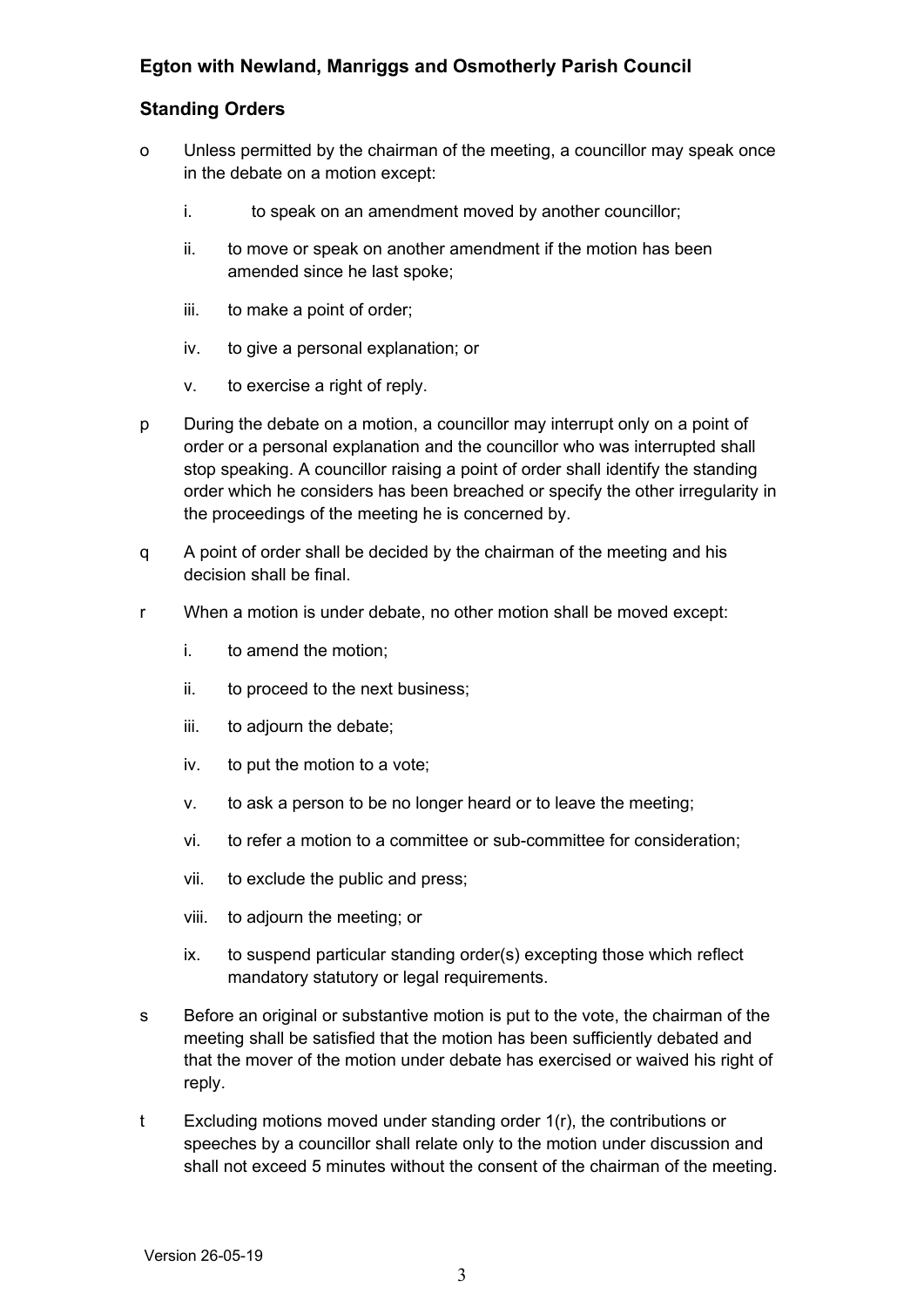## **Standing Orders**

- o Unless permitted by the chairman of the meeting, a councillor may speak once in the debate on a motion except:
	- i. to speak on an amendment moved by another councillor;
	- ii. to move or speak on another amendment if the motion has been amended since he last spoke;
	- iii. to make a point of order;
	- iv. to give a personal explanation; or
	- v. to exercise a right of reply.
- p During the debate on a motion, a councillor may interrupt only on a point of order or a personal explanation and the councillor who was interrupted shall stop speaking. A councillor raising a point of order shall identify the standing order which he considers has been breached or specify the other irregularity in the proceedings of the meeting he is concerned by.
- q A point of order shall be decided by the chairman of the meeting and his decision shall be final.
- r When a motion is under debate, no other motion shall be moved except:
	- i. to amend the motion;
	- ii. to proceed to the next business;
	- iii. to adjourn the debate;
	- iv. to put the motion to a vote;
	- v. to ask a person to be no longer heard or to leave the meeting;
	- vi. to refer a motion to a committee or sub-committee for consideration;
	- vii. to exclude the public and press;
	- viii. to adjourn the meeting; or
	- ix. to suspend particular standing order(s) excepting those which reflect mandatory statutory or legal requirements.
- s Before an original or substantive motion is put to the vote, the chairman of the meeting shall be satisfied that the motion has been sufficiently debated and that the mover of the motion under debate has exercised or waived his right of reply.
- t Excluding motions moved under standing order 1(r), the contributions or speeches by a councillor shall relate only to the motion under discussion and shall not exceed 5 minutes without the consent of the chairman of the meeting.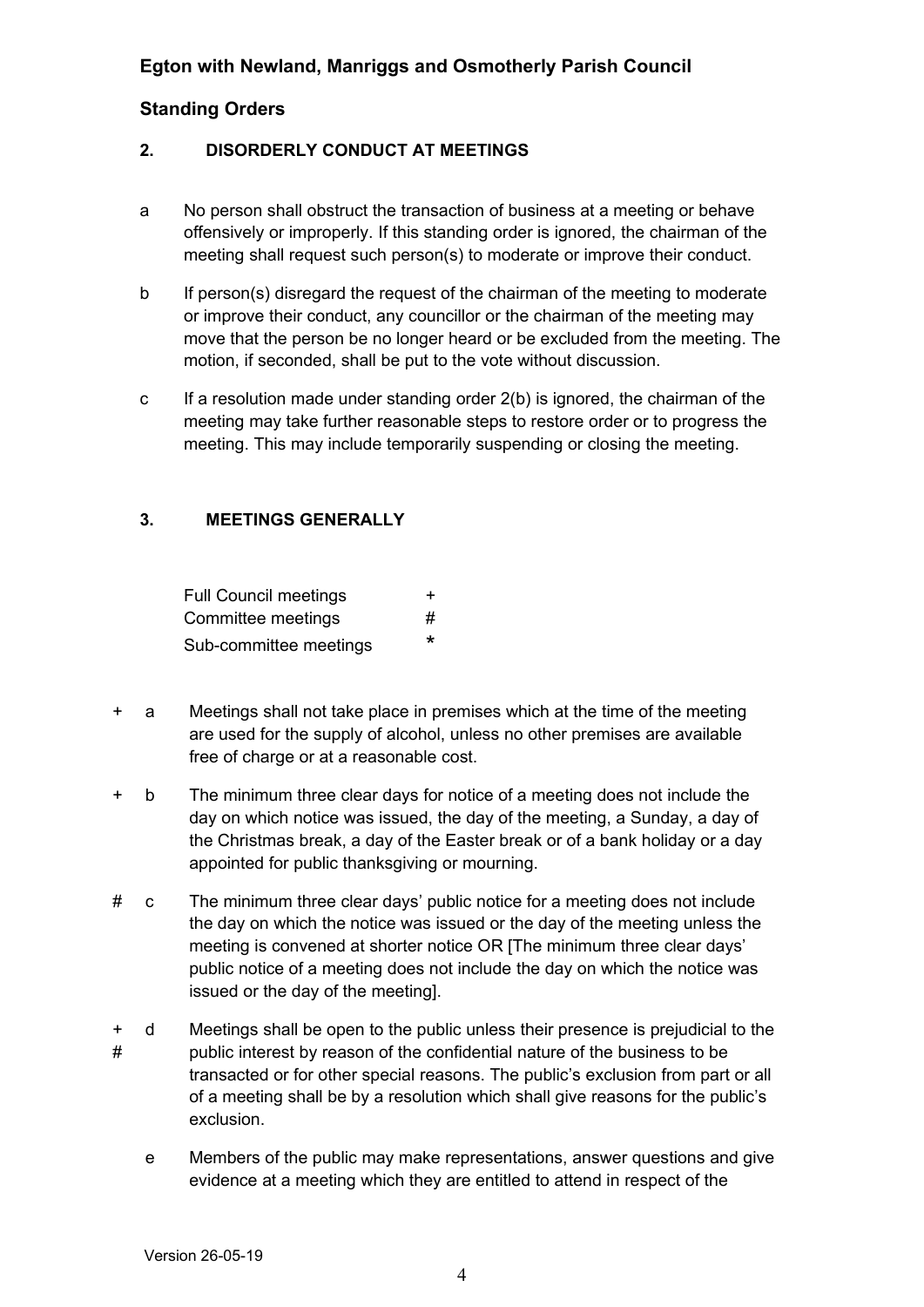## <span id="page-3-1"></span>**2. DISORDERLY CONDUCT AT MEETINGS**

- a No person shall obstruct the transaction of business at a meeting or behave offensively or improperly. If this standing order is ignored, the chairman of the meeting shall request such person(s) to moderate or improve their conduct.
- b If person(s) disregard the request of the chairman of the meeting to moderate or improve their conduct, any councillor or the chairman of the meeting may move that the person be no longer heard or be excluded from the meeting. The motion, if seconded, shall be put to the vote without discussion.
- c If a resolution made under standing order 2(b) is ignored, the chairman of the meeting may take further reasonable steps to restore order or to progress the meeting. This may include temporarily suspending or closing the meeting.

## <span id="page-3-0"></span>**3. MEETINGS GENERALLY**

| <b>Full Council meetings</b> | ÷.      |
|------------------------------|---------|
| Committee meetings           | #       |
| Sub-committee meetings       | $\star$ |

- + a Meetings shall not take place in premises which at the time of the meeting are used for the supply of alcohol, unless no other premises are available free of charge or at a reasonable cost.
- + b The minimum three clear days for notice of a meeting does not include the day on which notice was issued, the day of the meeting, a Sunday, a day of the Christmas break, a day of the Easter break or of a bank holiday or a day appointed for public thanksgiving or mourning.
- # c The minimum three clear days' public notice for a meeting does not include the day on which the notice was issued or the day of the meeting unless the meeting is convened at shorter notice OR [The minimum three clear days' public notice of a meeting does not include the day on which the notice was issued or the day of the meeting].
- + # d Meetings shall be open to the public unless their presence is prejudicial to the public interest by reason of the confidential nature of the business to be transacted or for other special reasons. The public's exclusion from part or all of a meeting shall be by a resolution which shall give reasons for the public's exclusion.
	- e Members of the public may make representations, answer questions and give evidence at a meeting which they are entitled to attend in respect of the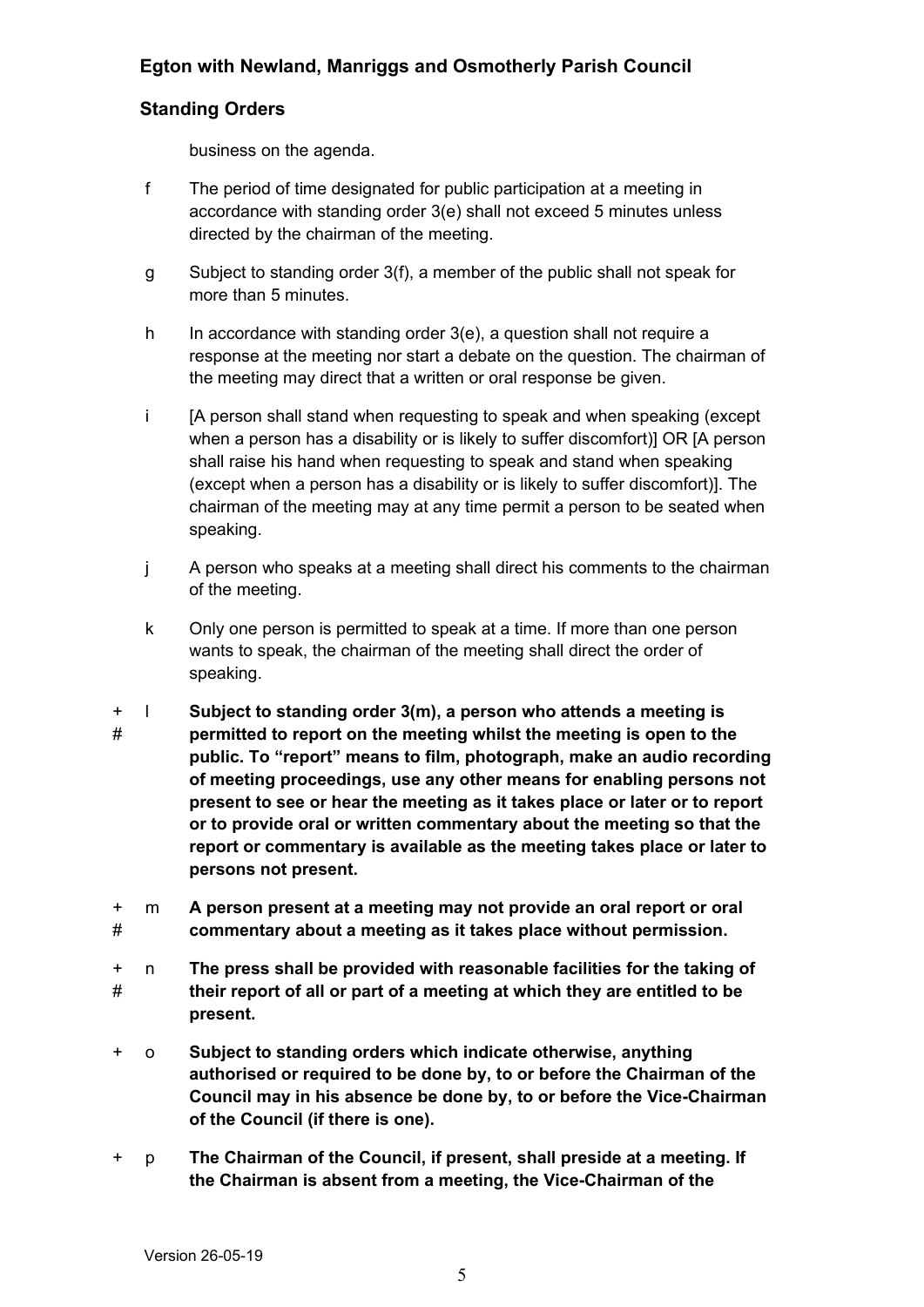## **Standing Orders**

business on the agenda.

- f The period of time designated for public participation at a meeting in accordance with standing order 3(e) shall not exceed 5 minutes unless directed by the chairman of the meeting.
- g Subject to standing order 3(f), a member of the public shall not speak for more than 5 minutes.
- h In accordance with standing order 3(e), a question shall not require a response at the meeting nor start a debate on the question. The chairman of the meeting may direct that a written or oral response be given.
- i [A person shall stand when requesting to speak and when speaking (except when a person has a disability or is likely to suffer discomfort)] OR [A person shall raise his hand when requesting to speak and stand when speaking (except when a person has a disability or is likely to suffer discomfort)]. The chairman of the meeting may at any time permit a person to be seated when speaking.
- j A person who speaks at a meeting shall direct his comments to the chairman of the meeting.
- k Only one person is permitted to speak at a time. If more than one person wants to speak, the chairman of the meeting shall direct the order of speaking.
- + # l **Subject to standing order 3(m), a person who attends a meeting is permitted to report on the meeting whilst the meeting is open to the public. To "report" means to film, photograph, make an audio recording of meeting proceedings, use any other means for enabling persons not present to see or hear the meeting as it takes place or later or to report or to provide oral or written commentary about the meeting so that the report or commentary is available as the meeting takes place or later to persons not present.**
- + # m **A person present at a meeting may not provide an oral report or oral commentary about a meeting as it takes place without permission.**
- + # n **The press shall be provided with reasonable facilities for the taking of their report of all or part of a meeting at which they are entitled to be present.**
- + o **Subject to standing orders which indicate otherwise, anything authorised or required to be done by, to or before the Chairman of the Council may in his absence be done by, to or before the Vice-Chairman of the Council (if there is one).**
- + p **The Chairman of the Council, if present, shall preside at a meeting. If the Chairman is absent from a meeting, the Vice-Chairman of the**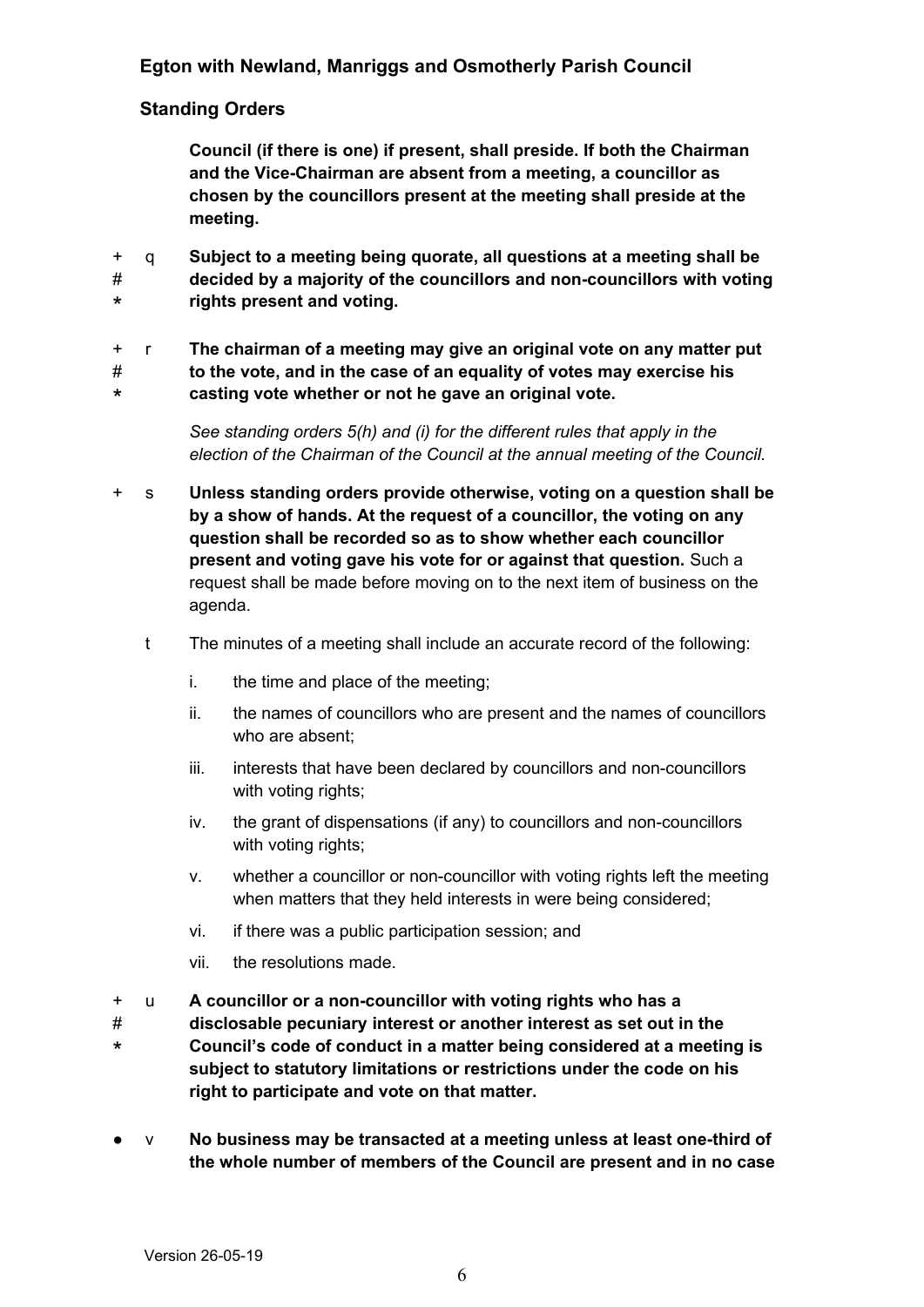## **Standing Orders**

**Council (if there is one) if present, shall preside. If both the Chairman and the Vice-Chairman are absent from a meeting, a councillor as chosen by the councillors present at the meeting shall preside at the meeting.**

+ # \* q **Subject to a meeting being quorate, all questions at a meeting shall be decided by a majority of the councillors and non-councillors with voting rights present and voting.**

+ # \* r **The chairman of a meeting may give an original vote on any matter put to the vote, and in the case of an equality of votes may exercise his casting vote whether or not he gave an original vote.**

> *See standing orders 5(h) and (i) for the different rules that apply in the election of the Chairman of the Council at the annual meeting of the Council.*

- + s **Unless standing orders provide otherwise, voting on a question shall be by a show of hands. At the request of a councillor, the voting on any question shall be recorded so as to show whether each councillor present and voting gave his vote for or against that question.** Such a request shall be made before moving on to the next item of business on the agenda.
	- t The minutes of a meeting shall include an accurate record of the following:
		- i. the time and place of the meeting;
		- ii. the names of councillors who are present and the names of councillors who are absent;
		- iii. interests that have been declared by councillors and non-councillors with voting rights:
		- iv. the grant of dispensations (if any) to councillors and non-councillors with voting rights;
		- v. whether a councillor or non-councillor with voting rights left the meeting when matters that they held interests in were being considered;
		- vi. if there was a public participation session; and
		- vii. the resolutions made.
- + u **A councillor or a non-councillor with voting rights who has a**
- # \* **disclosable pecuniary interest or another interest as set out in the Council's code of conduct in a matter being considered at a meeting is subject to statutory limitations or restrictions under the code on his right to participate and vote on that matter.**
- v **No business may be transacted at a meeting unless at least one-third of the whole number of members of the Council are present and in no case**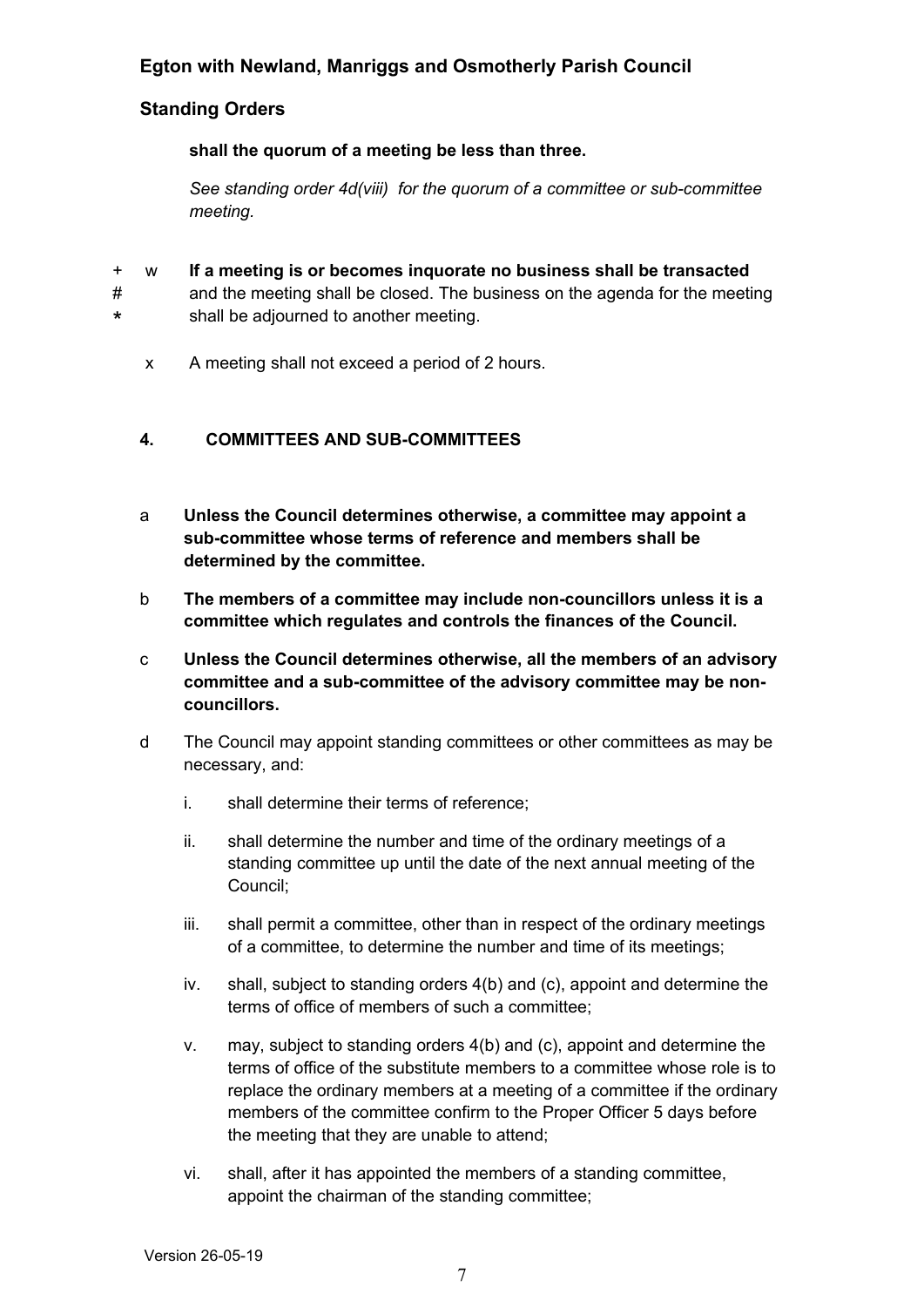## **Standing Orders**

**shall the quorum of a meeting be less than three.**

*See standing order 4d(viii) for the quorum of a committee or sub-committee meeting.* 

- + w **If a meeting is or becomes inquorate no business shall be transacted**
- # \* and the meeting shall be closed. The business on the agenda for the meeting shall be adjourned to another meeting.
	- x A meeting shall not exceed a period of 2 hours.

## <span id="page-6-0"></span>**4. COMMITTEES AND SUB-COMMITTEES**

- a **Unless the Council determines otherwise, a committee may appoint a sub-committee whose terms of reference and members shall be determined by the committee.**
- b **The members of a committee may include non-councillors unless it is a committee which regulates and controls the finances of the Council.**
- c **Unless the Council determines otherwise, all the members of an advisory committee and a sub-committee of the advisory committee may be noncouncillors.**
- d The Council may appoint standing committees or other committees as may be necessary, and:
	- i. shall determine their terms of reference;
	- ii. shall determine the number and time of the ordinary meetings of a standing committee up until the date of the next annual meeting of the Council;
	- iii. shall permit a committee, other than in respect of the ordinary meetings of a committee, to determine the number and time of its meetings;
	- iv. shall, subject to standing orders 4(b) and (c), appoint and determine the terms of office of members of such a committee;
	- v. may, subject to standing orders 4(b) and (c), appoint and determine the terms of office of the substitute members to a committee whose role is to replace the ordinary members at a meeting of a committee if the ordinary members of the committee confirm to the Proper Officer 5 days before the meeting that they are unable to attend;
	- vi. shall, after it has appointed the members of a standing committee, appoint the chairman of the standing committee;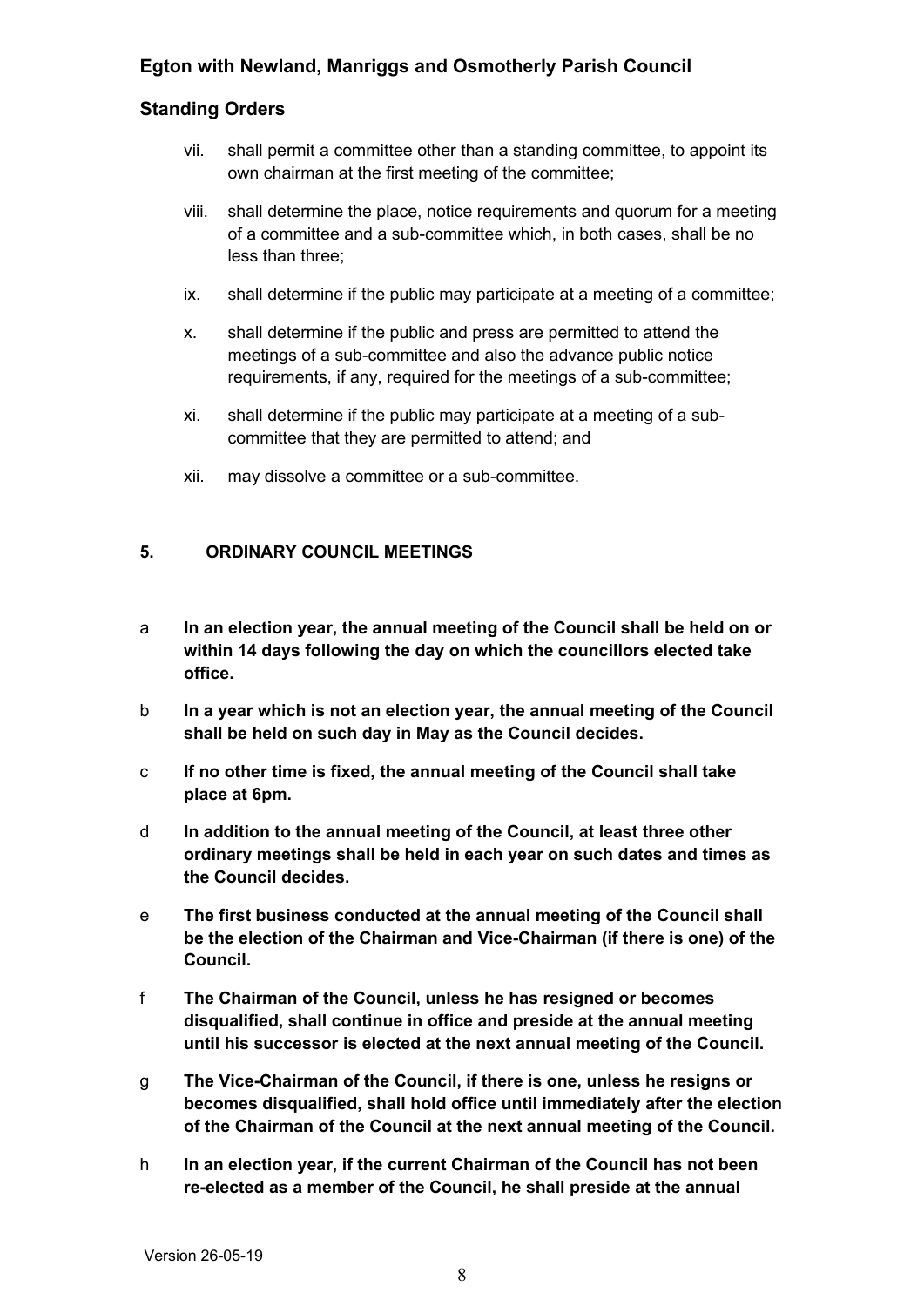## **Standing Orders**

- vii. shall permit a committee other than a standing committee, to appoint its own chairman at the first meeting of the committee;
- viii. shall determine the place, notice requirements and quorum for a meeting of a committee and a sub-committee which, in both cases, shall be no less than three;
- ix. shall determine if the public may participate at a meeting of a committee;
- x. shall determine if the public and press are permitted to attend the meetings of a sub-committee and also the advance public notice requirements, if any, required for the meetings of a sub-committee;
- xi. shall determine if the public may participate at a meeting of a subcommittee that they are permitted to attend; and
- xii. may dissolve a committee or a sub-committee.

#### <span id="page-7-0"></span>**5. ORDINARY COUNCIL MEETINGS**

- a **In an election year, the annual meeting of the Council shall be held on or within 14 days following the day on which the councillors elected take office.**
- b **In a year which is not an election year, the annual meeting of the Council shall be held on such day in May as the Council decides.**
- c **If no other time is fixed, the annual meeting of the Council shall take place at 6pm.**
- d **In addition to the annual meeting of the Council, at least three other ordinary meetings shall be held in each year on such dates and times as the Council decides.**
- e **The first business conducted at the annual meeting of the Council shall be the election of the Chairman and Vice-Chairman (if there is one) of the Council.**
- f **The Chairman of the Council, unless he has resigned or becomes disqualified, shall continue in office and preside at the annual meeting until his successor is elected at the next annual meeting of the Council.**
- g **The Vice-Chairman of the Council, if there is one, unless he resigns or becomes disqualified, shall hold office until immediately after the election of the Chairman of the Council at the next annual meeting of the Council.**
- h **In an election year, if the current Chairman of the Council has not been re-elected as a member of the Council, he shall preside at the annual**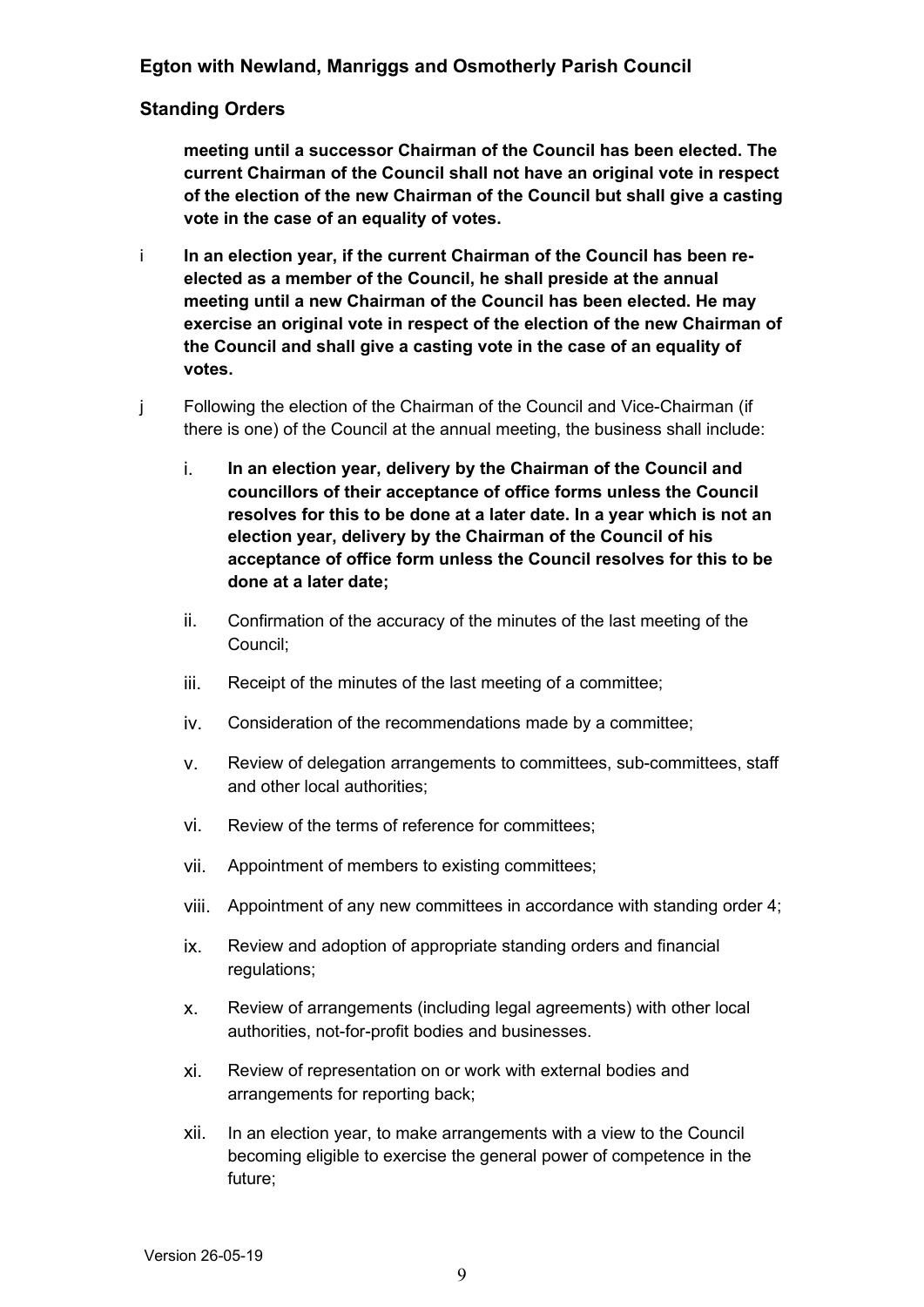#### **Standing Orders**

**meeting until a successor Chairman of the Council has been elected. The current Chairman of the Council shall not have an original vote in respect of the election of the new Chairman of the Council but shall give a casting vote in the case of an equality of votes.**

- i **In an election year, if the current Chairman of the Council has been reelected as a member of the Council, he shall preside at the annual meeting until a new Chairman of the Council has been elected. He may exercise an original vote in respect of the election of the new Chairman of the Council and shall give a casting vote in the case of an equality of votes.**
- j Following the election of the Chairman of the Council and Vice-Chairman (if there is one) of the Council at the annual meeting, the business shall include:
	- i. **In an election year, delivery by the Chairman of the Council and councillors of their acceptance of office forms unless the Council resolves for this to be done at a later date. In a year which is not an election year, delivery by the Chairman of the Council of his acceptance of office form unless the Council resolves for this to be done at a later date;**
	- ii. Confirmation of the accuracy of the minutes of the last meeting of the Council;
	- iii. Receipt of the minutes of the last meeting of a committee;
	- iv. Consideration of the recommendations made by a committee;
	- v. Review of delegation arrangements to committees, sub-committees, staff and other local authorities;
	- vi. Review of the terms of reference for committees;
	- vii. Appointment of members to existing committees;
	- viii. Appointment of any new committees in accordance with standing order 4;
	- ix. Review and adoption of appropriate standing orders and financial regulations;
	- x. Review of arrangements (including legal agreements) with other local authorities, not-for-profit bodies and businesses.
	- xi. Review of representation on or work with external bodies and arrangements for reporting back;
	- xii. In an election year, to make arrangements with a view to the Council becoming eligible to exercise the general power of competence in the future;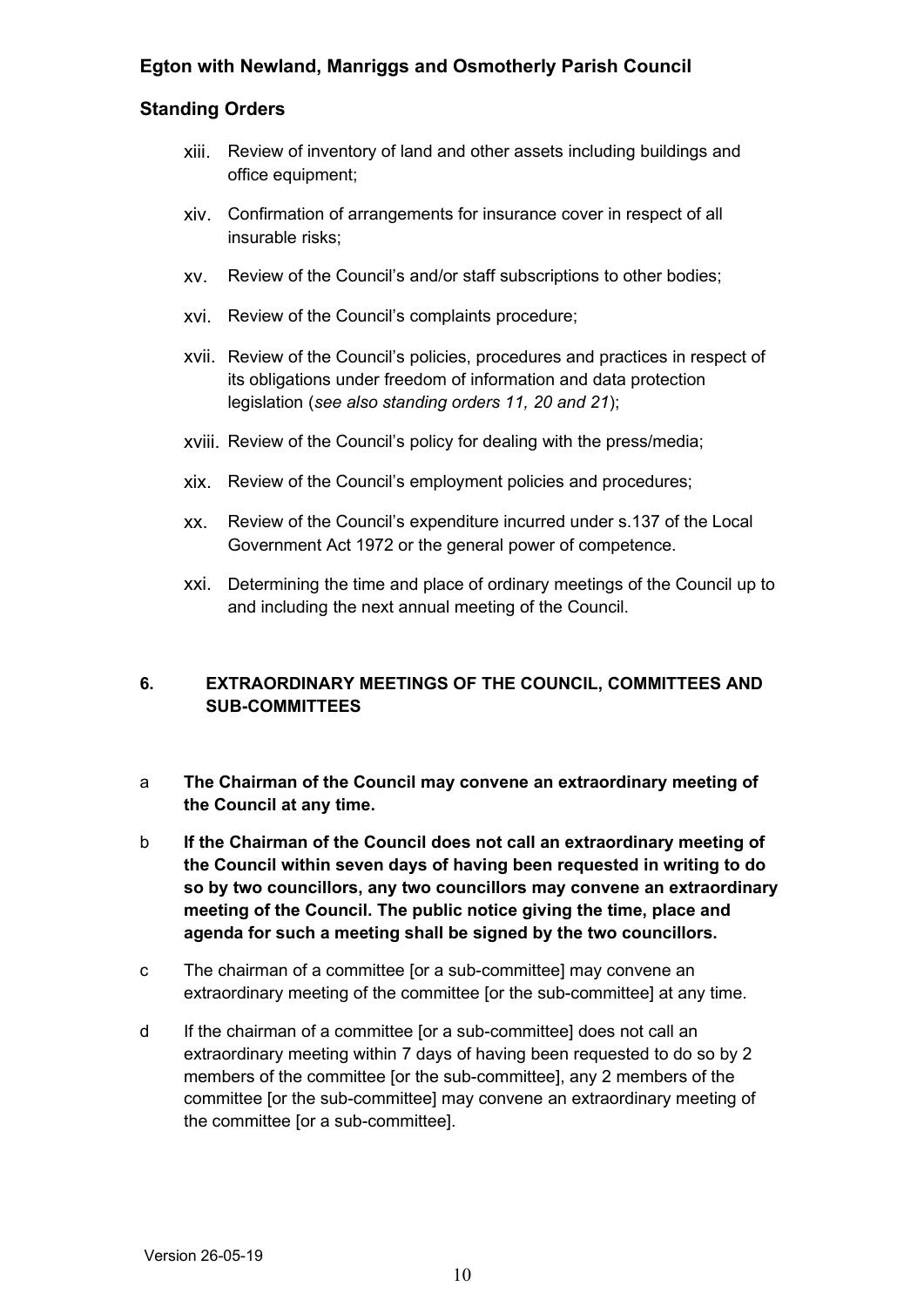#### **Standing Orders**

- xiii. Review of inventory of land and other assets including buildings and office equipment;
- xiv. Confirmation of arrangements for insurance cover in respect of all insurable risks;
- xv. Review of the Council's and/or staff subscriptions to other bodies;
- xvi. Review of the Council's complaints procedure;
- xvii. Review of the Council's policies, procedures and practices in respect of its obligations under freedom of information and data protection legislation (*see also standing orders 11, 20 and 21*);
- xviii. Review of the Council's policy for dealing with the press/media;
- xix. Review of the Council's employment policies and procedures;
- xx. Review of the Council's expenditure incurred under s.137 of the Local Government Act 1972 or the general power of competence.
- xxi. Determining the time and place of ordinary meetings of the Council up to and including the next annual meeting of the Council.

## <span id="page-9-0"></span>**6. EXTRAORDINARY MEETINGS OF THE COUNCIL, COMMITTEES AND SUB-COMMITTEES**

- a **The Chairman of the Council may convene an extraordinary meeting of the Council at any time.**
- b **If the Chairman of the Council does not call an extraordinary meeting of the Council within seven days of having been requested in writing to do so by two councillors, any two councillors may convene an extraordinary meeting of the Council. The public notice giving the time, place and agenda for such a meeting shall be signed by the two councillors.**
- c The chairman of a committee [or a sub-committee] may convene an extraordinary meeting of the committee [or the sub-committee] at any time.
- d If the chairman of a committee [or a sub-committee] does not call an extraordinary meeting within 7 days of having been requested to do so by 2 members of the committee [or the sub-committee], any 2 members of the committee [or the sub-committee] may convene an extraordinary meeting of the committee [or a sub-committee].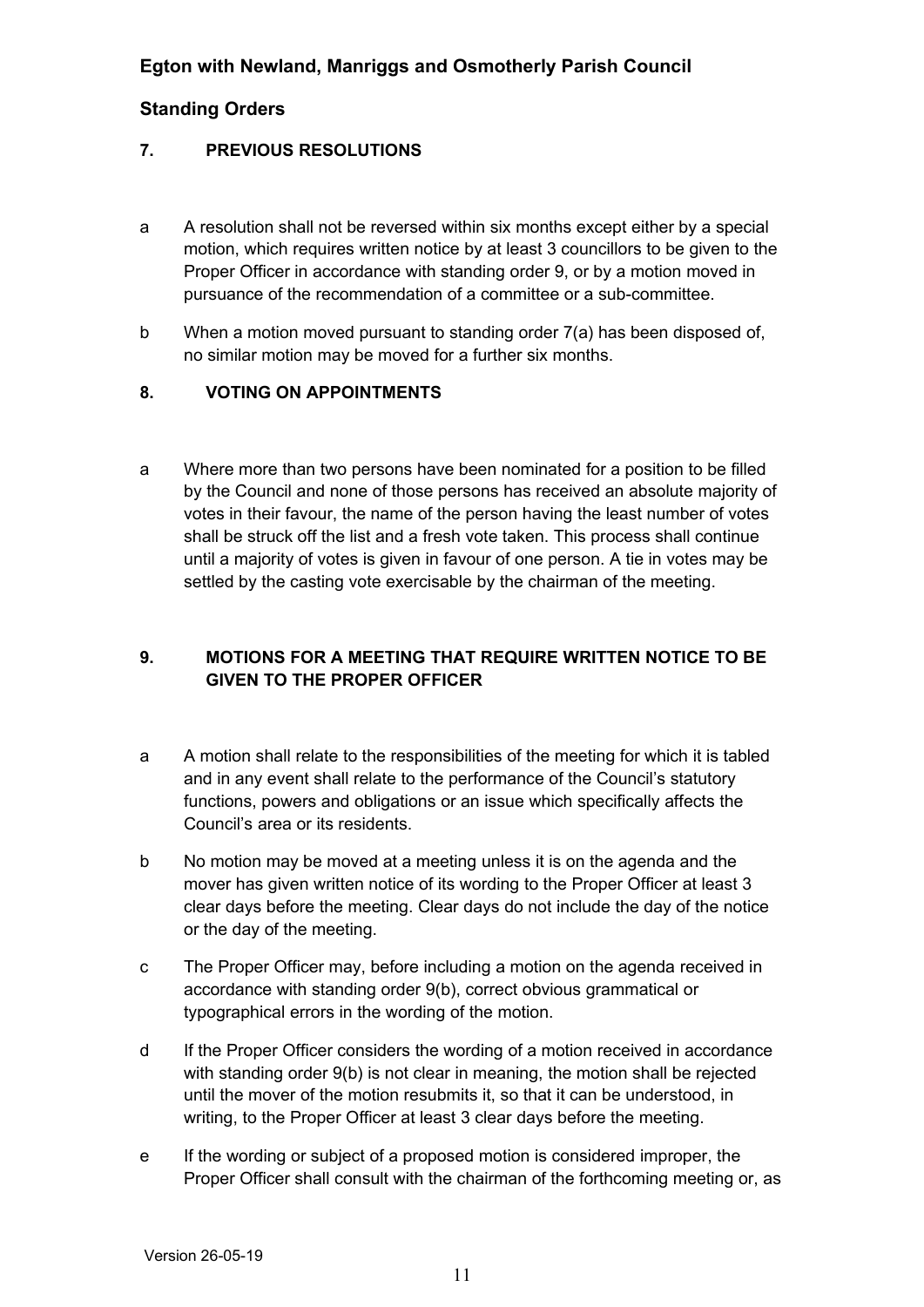#### <span id="page-10-2"></span>**7. PREVIOUS RESOLUTIONS**

- a A resolution shall not be reversed within six months except either by a special motion, which requires written notice by at least 3 councillors to be given to the Proper Officer in accordance with standing order 9, or by a motion moved in pursuance of the recommendation of a committee or a sub-committee.
- b When a motion moved pursuant to standing order 7(a) has been disposed of, no similar motion may be moved for a further six months.

#### <span id="page-10-1"></span>**8. VOTING ON APPOINTMENTS**

a Where more than two persons have been nominated for a position to be filled by the Council and none of those persons has received an absolute majority of votes in their favour, the name of the person having the least number of votes shall be struck off the list and a fresh vote taken. This process shall continue until a majority of votes is given in favour of one person. A tie in votes may be settled by the casting vote exercisable by the chairman of the meeting.

## <span id="page-10-0"></span>**9. MOTIONS FOR A MEETING THAT REQUIRE WRITTEN NOTICE TO BE GIVEN TO THE PROPER OFFICER**

- a A motion shall relate to the responsibilities of the meeting for which it is tabled and in any event shall relate to the performance of the Council's statutory functions, powers and obligations or an issue which specifically affects the Council's area or its residents.
- b No motion may be moved at a meeting unless it is on the agenda and the mover has given written notice of its wording to the Proper Officer at least 3 clear days before the meeting. Clear days do not include the day of the notice or the day of the meeting.
- c The Proper Officer may, before including a motion on the agenda received in accordance with standing order 9(b), correct obvious grammatical or typographical errors in the wording of the motion.
- d If the Proper Officer considers the wording of a motion received in accordance with standing order 9(b) is not clear in meaning, the motion shall be rejected until the mover of the motion resubmits it, so that it can be understood, in writing, to the Proper Officer at least 3 clear days before the meeting.
- e If the wording or subject of a proposed motion is considered improper, the Proper Officer shall consult with the chairman of the forthcoming meeting or, as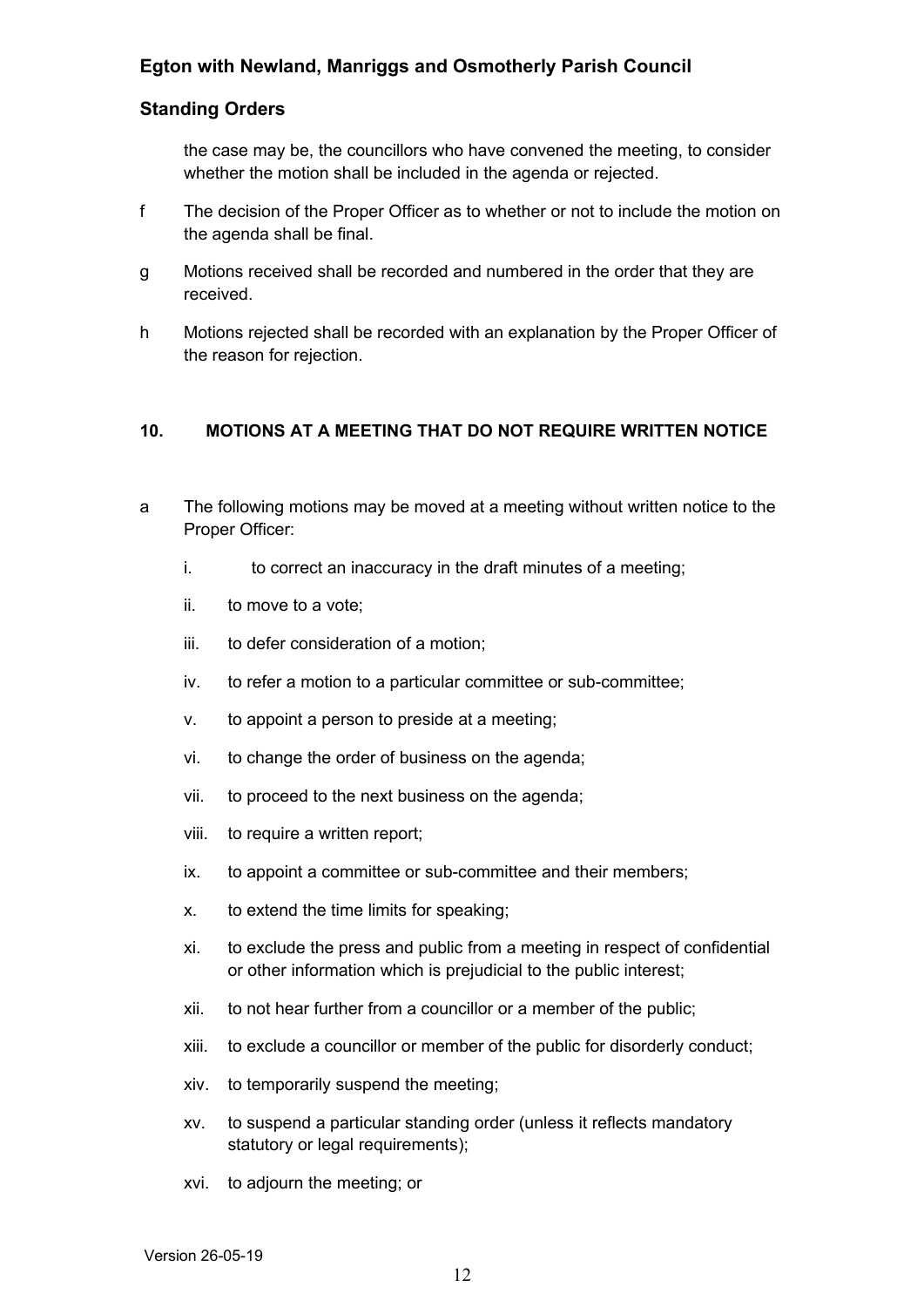#### **Standing Orders**

the case may be, the councillors who have convened the meeting, to consider whether the motion shall be included in the agenda or rejected.

- f The decision of the Proper Officer as to whether or not to include the motion on the agenda shall be final.
- g Motions received shall be recorded and numbered in the order that they are received.
- h Motions rejected shall be recorded with an explanation by the Proper Officer of the reason for rejection.

#### <span id="page-11-0"></span>**10. MOTIONS AT A MEETING THAT DO NOT REQUIRE WRITTEN NOTICE**

- a The following motions may be moved at a meeting without written notice to the Proper Officer:
	- i. to correct an inaccuracy in the draft minutes of a meeting;
	- ii. to move to a vote;
	- iii. to defer consideration of a motion;
	- iv. to refer a motion to a particular committee or sub-committee;
	- v. to appoint a person to preside at a meeting;
	- vi. to change the order of business on the agenda;
	- vii. to proceed to the next business on the agenda;
	- viii. to require a written report;
	- ix. to appoint a committee or sub-committee and their members;
	- x. to extend the time limits for speaking;
	- xi. to exclude the press and public from a meeting in respect of confidential or other information which is prejudicial to the public interest;
	- xii. to not hear further from a councillor or a member of the public;
	- xiii. to exclude a councillor or member of the public for disorderly conduct;
	- xiv. to temporarily suspend the meeting;
	- xv. to suspend a particular standing order (unless it reflects mandatory statutory or legal requirements);
	- xvi. to adjourn the meeting; or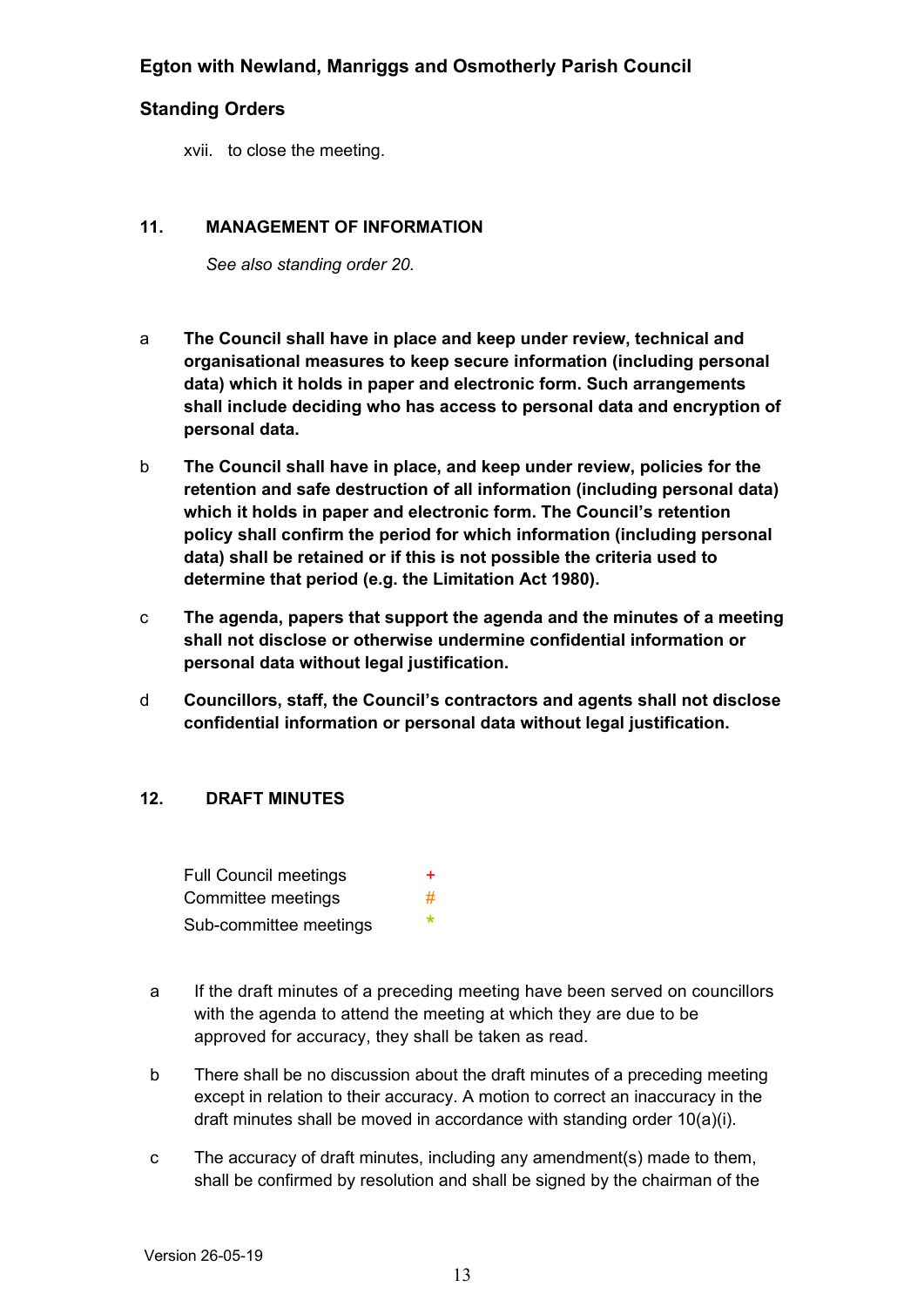#### **Standing Orders**

xvii. to close the meeting.

#### **11. MANAGEMENT OF INFORMATION**

<span id="page-12-1"></span>*See also standing order 20.*

- a **The Council shall have in place and keep under review, technical and organisational measures to keep secure information (including personal data) which it holds in paper and electronic form. Such arrangements shall include deciding who has access to personal data and encryption of personal data.**
- b **The Council shall have in place, and keep under review, policies for the retention and safe destruction of all information (including personal data) which it holds in paper and electronic form. The Council's retention policy shall confirm the period for which information (including personal data) shall be retained or if this is not possible the criteria used to determine that period (e.g. the Limitation Act 1980).**
- c **The agenda, papers that support the agenda and the minutes of a meeting shall not disclose or otherwise undermine confidential information or personal data without legal justification.**
- d **Councillors, staff, the Council's contractors and agents shall not disclose confidential information or personal data without legal justification.**

#### <span id="page-12-0"></span>**12. DRAFT MINUTES**

Full Council meetings + Committee meetings and  $\#$ Sub-committee meetings \*

- a If the draft minutes of a preceding meeting have been served on councillors with the agenda to attend the meeting at which they are due to be approved for accuracy, they shall be taken as read.
- b There shall be no discussion about the draft minutes of a preceding meeting except in relation to their accuracy. A motion to correct an inaccuracy in the draft minutes shall be moved in accordance with standing order 10(a)(i).
- c The accuracy of draft minutes, including any amendment(s) made to them, shall be confirmed by resolution and shall be signed by the chairman of the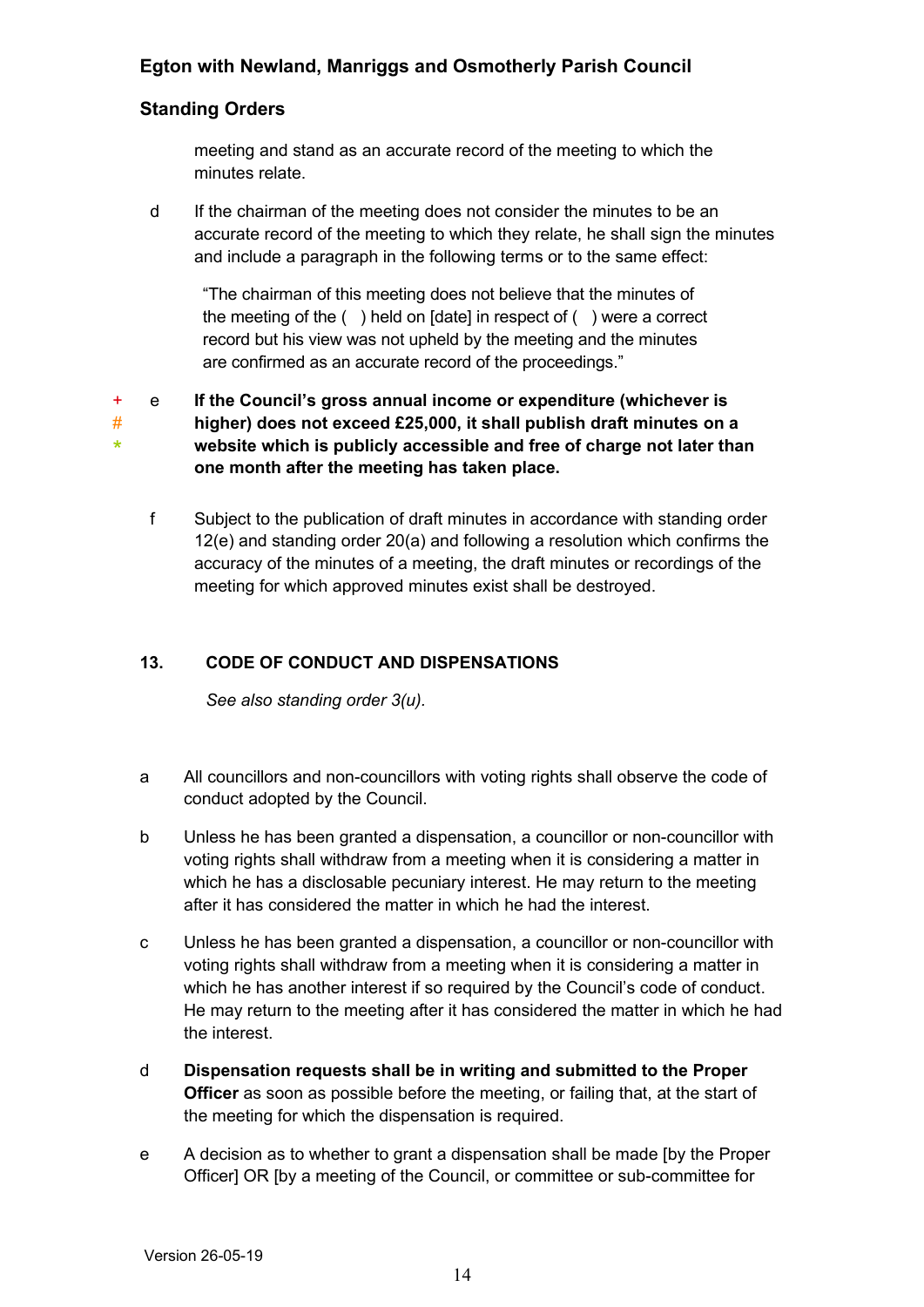## **Standing Orders**

meeting and stand as an accurate record of the meeting to which the minutes relate.

d If the chairman of the meeting does not consider the minutes to be an accurate record of the meeting to which they relate, he shall sign the minutes and include a paragraph in the following terms or to the same effect:

"The chairman of this meeting does not believe that the minutes of the meeting of the ( ) held on [date] in respect of ( ) were a correct record but his view was not upheld by the meeting and the minutes are confirmed as an accurate record of the proceedings."

+ # \* e **If the Council's gross annual income or expenditure (whichever is higher) does not exceed £25,000, it shall publish draft minutes on a website which is publicly accessible and free of charge not later than one month after the meeting has taken place.**

f Subject to the publication of draft minutes in accordance with standing order 12(e) and standing order 20(a) and following a resolution which confirms the accuracy of the minutes of a meeting, the draft minutes or recordings of the meeting for which approved minutes exist shall be destroyed.

## **13. CODE OF CONDUCT AND DISPENSATIONS**

<span id="page-13-0"></span>*See also standing order 3(u).* 

- a All councillors and non-councillors with voting rights shall observe the code of conduct adopted by the Council.
- b Unless he has been granted a dispensation, a councillor or non-councillor with voting rights shall withdraw from a meeting when it is considering a matter in which he has a disclosable pecuniary interest. He may return to the meeting after it has considered the matter in which he had the interest.
- c Unless he has been granted a dispensation, a councillor or non-councillor with voting rights shall withdraw from a meeting when it is considering a matter in which he has another interest if so required by the Council's code of conduct. He may return to the meeting after it has considered the matter in which he had the interest.
- d **Dispensation requests shall be in writing and submitted to the Proper Officer** as soon as possible before the meeting, or failing that, at the start of the meeting for which the dispensation is required.
- e A decision as to whether to grant a dispensation shall be made [by the Proper Officer] OR [by a meeting of the Council, or committee or sub-committee for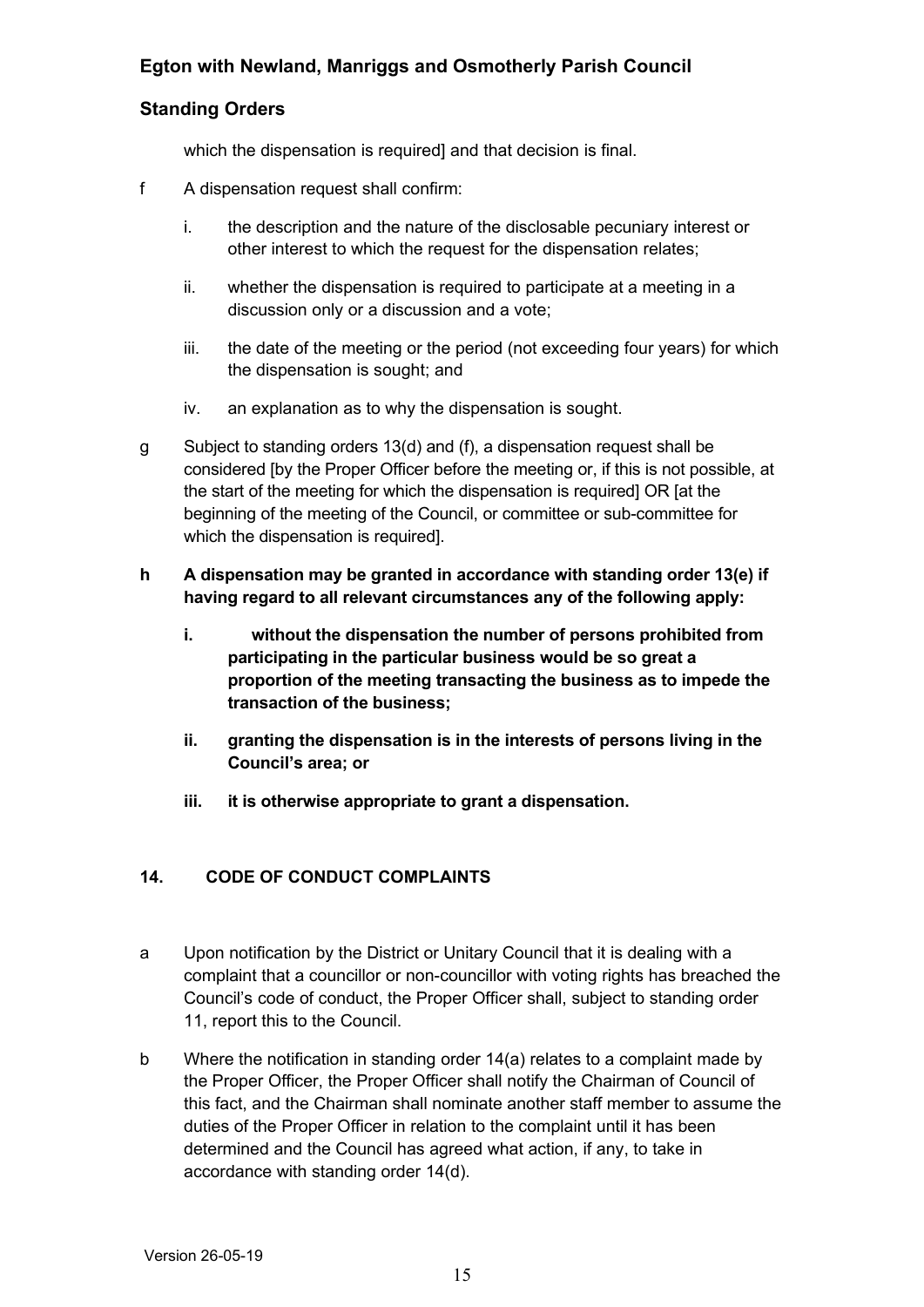## **Standing Orders**

which the dispensation is required] and that decision is final.

- f A dispensation request shall confirm:
	- i. the description and the nature of the disclosable pecuniary interest or other interest to which the request for the dispensation relates;
	- ii. whether the dispensation is required to participate at a meeting in a discussion only or a discussion and a vote;
	- iii. the date of the meeting or the period (not exceeding four years) for which the dispensation is sought; and
	- iv. an explanation as to why the dispensation is sought.
- g Subject to standing orders 13(d) and (f), a dispensation request shall be considered [by the Proper Officer before the meeting or, if this is not possible, at the start of the meeting for which the dispensation is required] OR [at the beginning of the meeting of the Council, or committee or sub-committee for which the dispensation is required].
- **h A dispensation may be granted in accordance with standing order 13(e) if having regard to all relevant circumstances any of the following apply:**
	- **i. without the dispensation the number of persons prohibited from participating in the particular business would be so great a proportion of the meeting transacting the business as to impede the transaction of the business;**
	- **ii. granting the dispensation is in the interests of persons living in the Council's area; or**
	- **iii. it is otherwise appropriate to grant a dispensation.**

## <span id="page-14-0"></span>**14. CODE OF CONDUCT COMPLAINTS**

- a Upon notification by the District or Unitary Council that it is dealing with a complaint that a councillor or non-councillor with voting rights has breached the Council's code of conduct, the Proper Officer shall, subject to standing order 11, report this to the Council.
- b Where the notification in standing order 14(a) relates to a complaint made by the Proper Officer, the Proper Officer shall notify the Chairman of Council of this fact, and the Chairman shall nominate another staff member to assume the duties of the Proper Officer in relation to the complaint until it has been determined and the Council has agreed what action, if any, to take in accordance with standing order 14(d).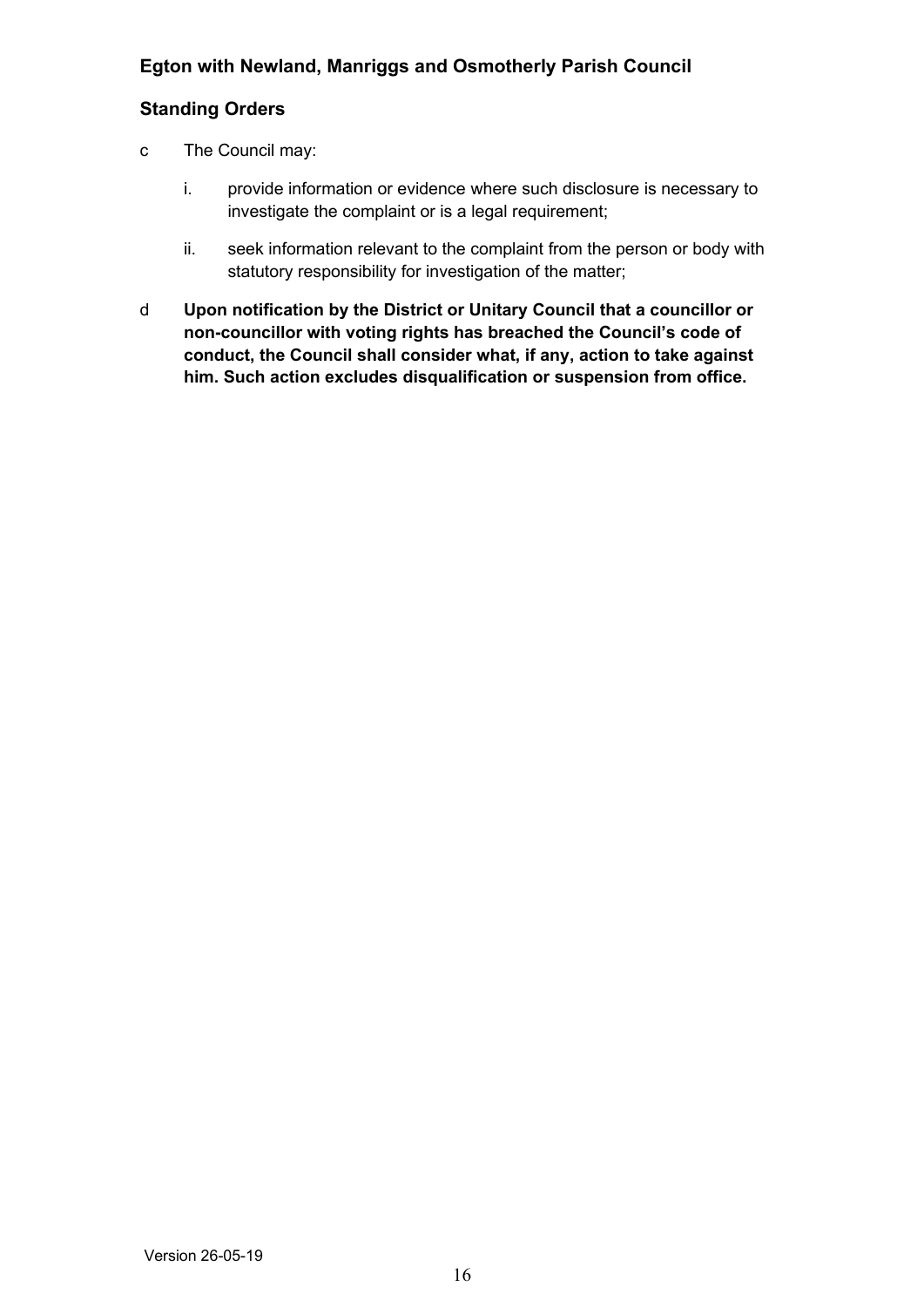- c The Council may:
	- i. provide information or evidence where such disclosure is necessary to investigate the complaint or is a legal requirement;
	- ii. seek information relevant to the complaint from the person or body with statutory responsibility for investigation of the matter;
- <span id="page-15-0"></span>d **Upon notification by the District or Unitary Council that a councillor or non-councillor with voting rights has breached the Council's code of conduct, the Council shall consider what, if any, action to take against him. Such action excludes disqualification or suspension from office.**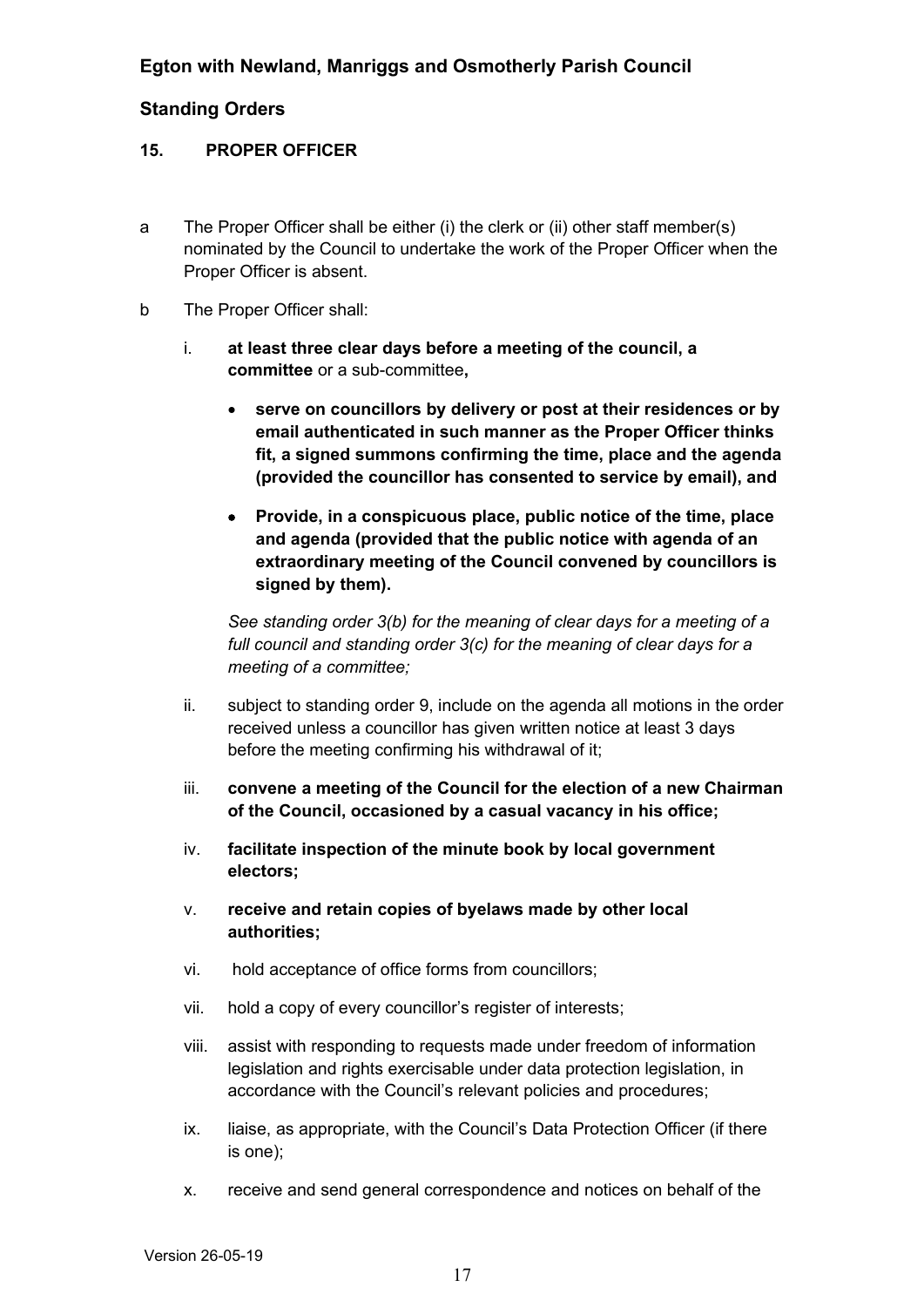#### **15. PROPER OFFICER**

- a The Proper Officer shall be either (i) the clerk or (ii) other staff member(s) nominated by the Council to undertake the work of the Proper Officer when the Proper Officer is absent.
- b The Proper Officer shall:
	- i. **at least three clear days before a meeting of the council, a committee** or a sub-committee**,**
		- **serve on councillors by delivery or post at their residences or by email authenticated in such manner as the Proper Officer thinks fit, a signed summons confirming the time, place and the agenda (provided the councillor has consented to service by email), and**
		- **Provide, in a conspicuous place, public notice of the time, place and agenda (provided that the public notice with agenda of an extraordinary meeting of the Council convened by councillors is signed by them).**

*See standing order 3(b) for the meaning of clear days for a meeting of a full council and standing order 3(c) for the meaning of clear days for a meeting of a committee;*

- ii. subject to standing order 9, include on the agenda all motions in the order received unless a councillor has given written notice at least 3 days before the meeting confirming his withdrawal of it;
- iii. **convene a meeting of the Council for the election of a new Chairman of the Council, occasioned by a casual vacancy in his office;**
- iv. **facilitate inspection of the minute book by local government electors;**
- v. **receive and retain copies of byelaws made by other local authorities;**
- vi. hold acceptance of office forms from councillors;
- vii. hold a copy of every councillor's register of interests;
- viii. assist with responding to requests made under freedom of information legislation and rights exercisable under data protection legislation, in accordance with the Council's relevant policies and procedures;
- ix. liaise, as appropriate, with the Council's Data Protection Officer (if there is one);
- x. receive and send general correspondence and notices on behalf of the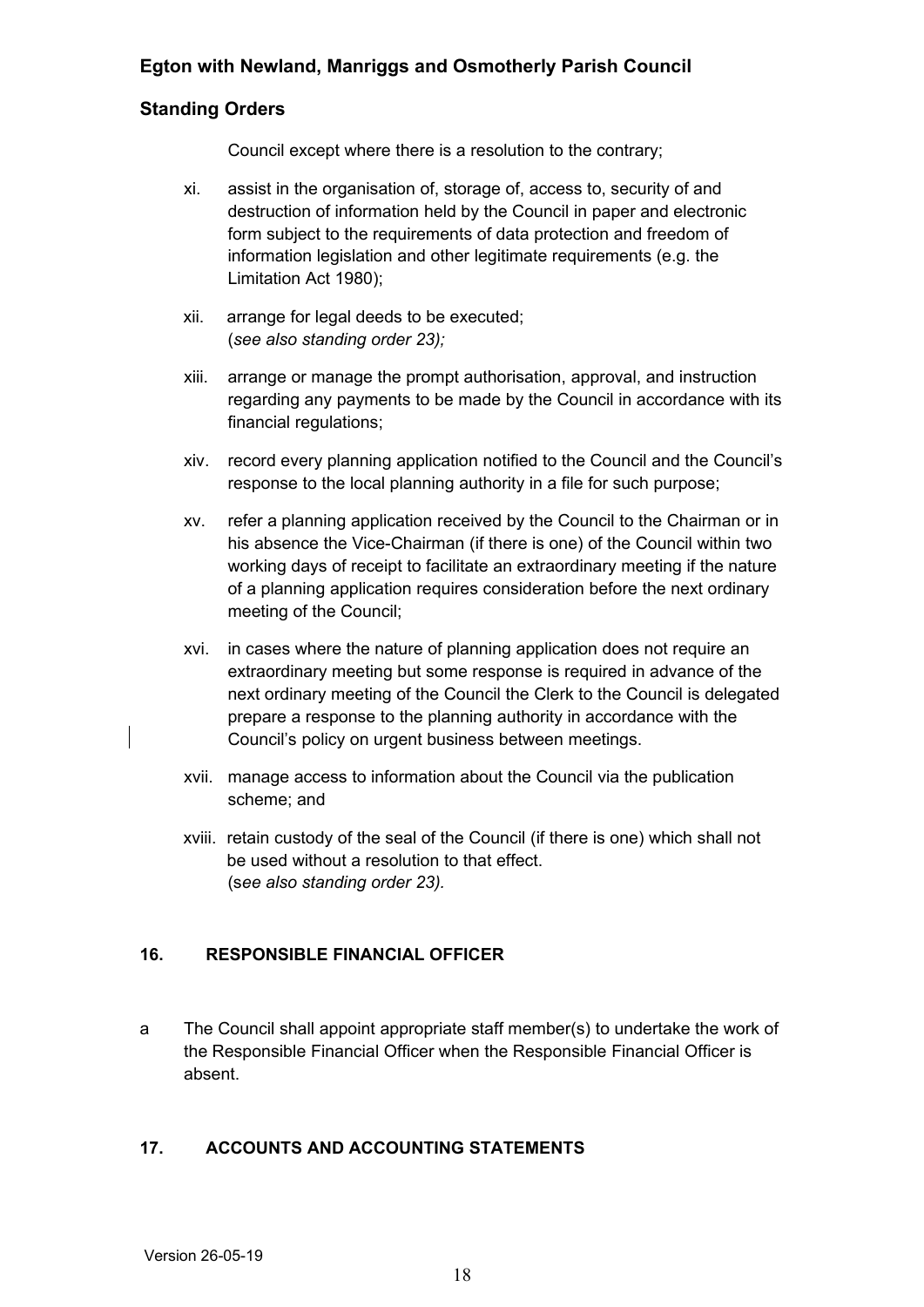## **Standing Orders**

Council except where there is a resolution to the contrary;

- xi. assist in the organisation of, storage of, access to, security of and destruction of information held by the Council in paper and electronic form subject to the requirements of data protection and freedom of information legislation and other legitimate requirements (e.g. the Limitation Act 1980);
- xii. arrange for legal deeds to be executed; (*see also standing order 23);*
- xiii. arrange or manage the prompt authorisation, approval, and instruction regarding any payments to be made by the Council in accordance with its financial regulations;
- xiv. record every planning application notified to the Council and the Council's response to the local planning authority in a file for such purpose;
- xv. refer a planning application received by the Council to the Chairman or in his absence the Vice-Chairman (if there is one) of the Council within two working days of receipt to facilitate an extraordinary meeting if the nature of a planning application requires consideration before the next ordinary meeting of the Council;
- xvi. in cases where the nature of planning application does not require an extraordinary meeting but some response is required in advance of the next ordinary meeting of the Council the Clerk to the Council is delegated prepare a response to the planning authority in accordance with the Council's policy on urgent business between meetings.
- xvii. manage access to information about the Council via the publication scheme; and
- xviii. retain custody of the seal of the Council (if there is one) which shall not be used without a resolution to that effect. (s*ee also standing order 23).*

## <span id="page-17-1"></span>**16. RESPONSIBLE FINANCIAL OFFICER**

a The Council shall appoint appropriate staff member(s) to undertake the work of the Responsible Financial Officer when the Responsible Financial Officer is absent.

## <span id="page-17-0"></span>**17. ACCOUNTS AND ACCOUNTING STATEMENTS**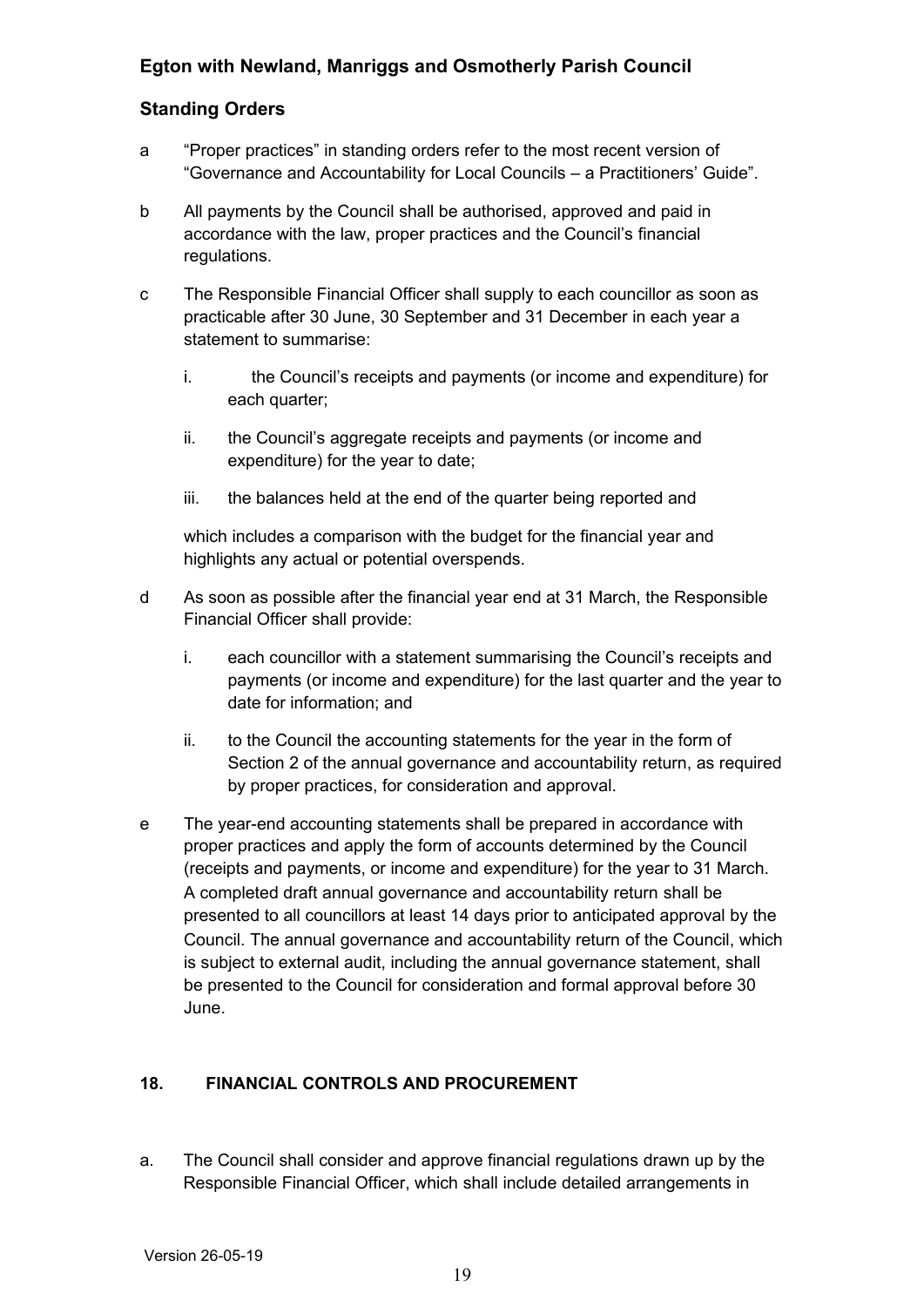## **Standing Orders**

- a "Proper practices" in standing orders refer to the most recent version of "Governance and Accountability for Local Councils – a Practitioners' Guide".
- b All payments by the Council shall be authorised, approved and paid in accordance with the law, proper practices and the Council's financial regulations.
- c The Responsible Financial Officer shall supply to each councillor as soon as practicable after 30 June, 30 September and 31 December in each year a statement to summarise:
	- i. the Council's receipts and payments (or income and expenditure) for each quarter;
	- ii. the Council's aggregate receipts and payments (or income and expenditure) for the year to date;
	- iii. the balances held at the end of the quarter being reported and

which includes a comparison with the budget for the financial year and highlights any actual or potential overspends.

- d As soon as possible after the financial year end at 31 March, the Responsible Financial Officer shall provide:
	- i. each councillor with a statement summarising the Council's receipts and payments (or income and expenditure) for the last quarter and the year to date for information; and
	- ii. to the Council the accounting statements for the year in the form of Section 2 of the annual governance and accountability return, as required by proper practices, for consideration and approval.
- e The year-end accounting statements shall be prepared in accordance with proper practices and apply the form of accounts determined by the Council (receipts and payments, or income and expenditure) for the year to 31 March. A completed draft annual governance and accountability return shall be presented to all councillors at least 14 days prior to anticipated approval by the Council. The annual governance and accountability return of the Council, which is subject to external audit, including the annual governance statement, shall be presented to the Council for consideration and formal approval before 30 June.

## <span id="page-18-0"></span>**18. FINANCIAL CONTROLS AND PROCUREMENT**

a. The Council shall consider and approve financial regulations drawn up by the Responsible Financial Officer, which shall include detailed arrangements in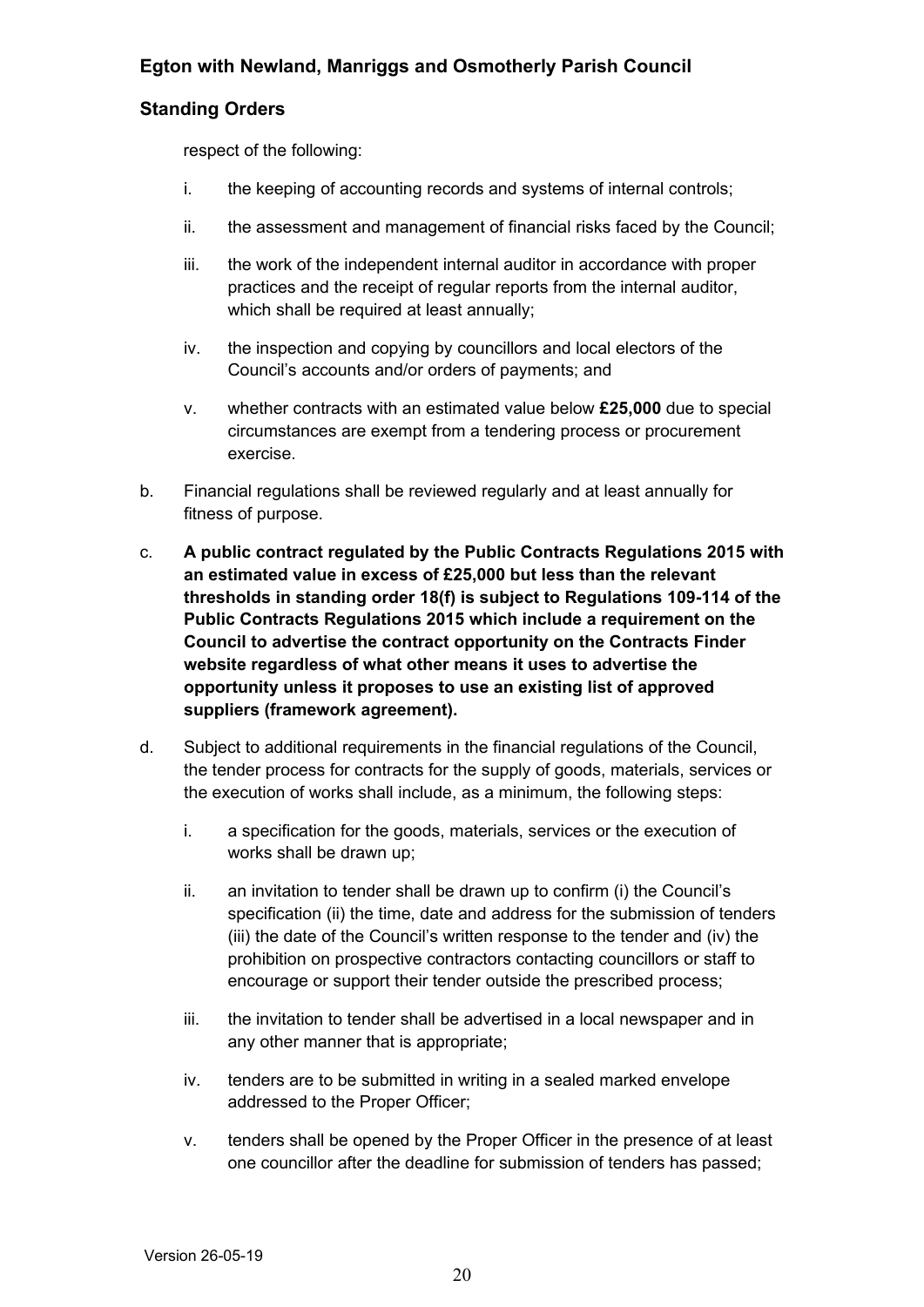## **Standing Orders**

respect of the following:

- i. the keeping of accounting records and systems of internal controls;
- ii. the assessment and management of financial risks faced by the Council;
- iii. the work of the independent internal auditor in accordance with proper practices and the receipt of regular reports from the internal auditor, which shall be required at least annually;
- iv. the inspection and copying by councillors and local electors of the Council's accounts and/or orders of payments; and
- v. whether contracts with an estimated value below **£25,000** due to special circumstances are exempt from a tendering process or procurement exercise.
- b. Financial regulations shall be reviewed regularly and at least annually for fitness of purpose.
- c. **A public contract regulated by the Public Contracts Regulations 2015 with an estimated value in excess of £25,000 but less than the relevant thresholds in standing order 18(f) is subject to Regulations 109-114 of the Public Contracts Regulations 2015 which include a requirement on the Council to advertise the contract opportunity on the Contracts Finder website regardless of what other means it uses to advertise the opportunity unless it proposes to use an existing list of approved suppliers (framework agreement).**
- d. Subject to additional requirements in the financial regulations of the Council, the tender process for contracts for the supply of goods, materials, services or the execution of works shall include, as a minimum, the following steps:
	- i. a specification for the goods, materials, services or the execution of works shall be drawn up;
	- ii. an invitation to tender shall be drawn up to confirm (i) the Council's specification (ii) the time, date and address for the submission of tenders (iii) the date of the Council's written response to the tender and (iv) the prohibition on prospective contractors contacting councillors or staff to encourage or support their tender outside the prescribed process;
	- iii. the invitation to tender shall be advertised in a local newspaper and in any other manner that is appropriate;
	- iv. tenders are to be submitted in writing in a sealed marked envelope addressed to the Proper Officer;
	- v. tenders shall be opened by the Proper Officer in the presence of at least one councillor after the deadline for submission of tenders has passed;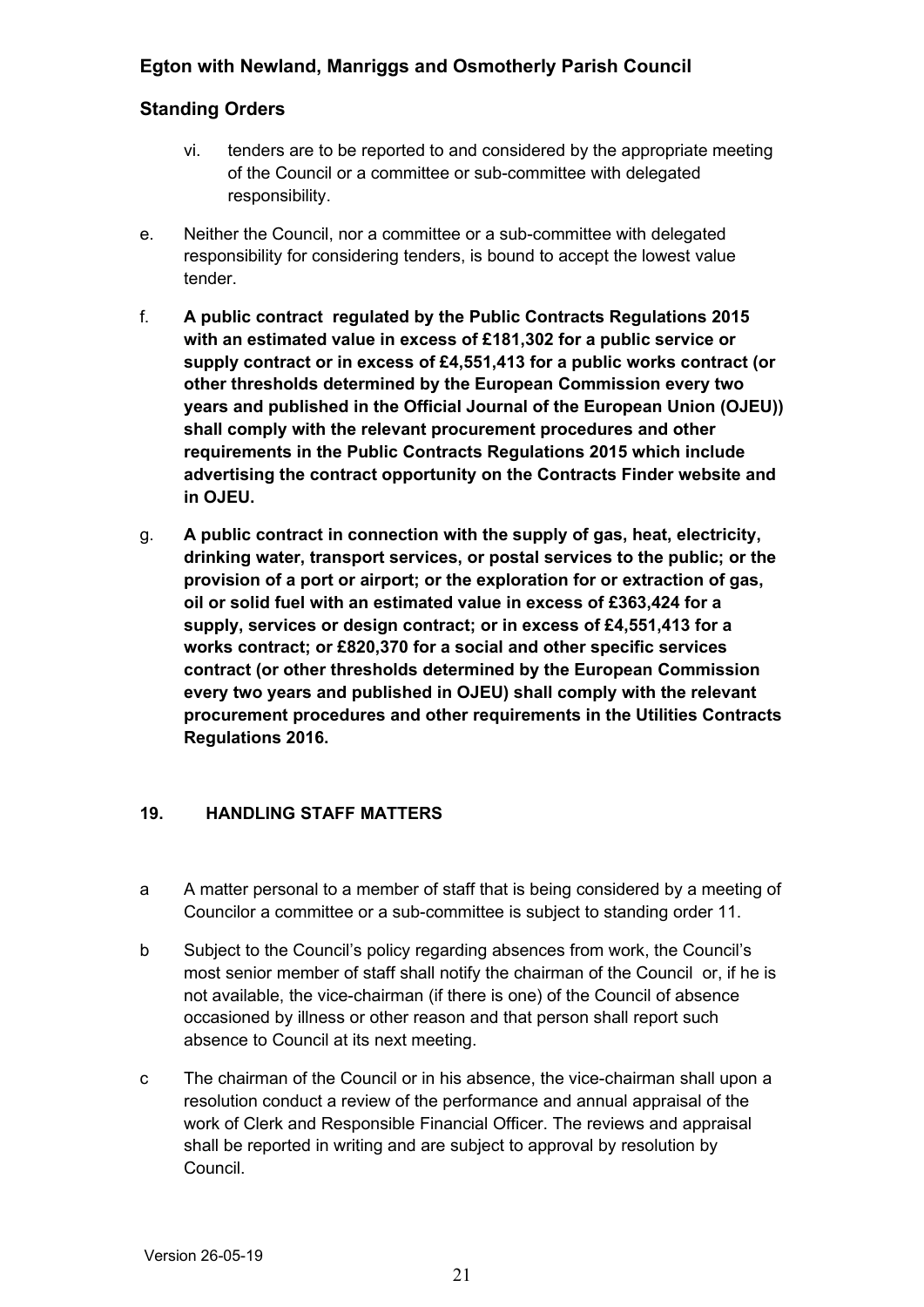## **Standing Orders**

- vi. tenders are to be reported to and considered by the appropriate meeting of the Council or a committee or sub-committee with delegated responsibility.
- e. Neither the Council, nor a committee or a sub-committee with delegated responsibility for considering tenders, is bound to accept the lowest value tender.
- f. **A public contract regulated by the Public Contracts Regulations 2015 with an estimated value in excess of £181,302 for a public service or supply contract or in excess of £4,551,413 for a public works contract (or other thresholds determined by the European Commission every two years and published in the Official Journal of the European Union (OJEU)) shall comply with the relevant procurement procedures and other requirements in the Public Contracts Regulations 2015 which include advertising the contract opportunity on the Contracts Finder website and in OJEU.**
- g. **A public contract in connection with the supply of gas, heat, electricity, drinking water, transport services, or postal services to the public; or the provision of a port or airport; or the exploration for or extraction of gas, oil or solid fuel with an estimated value in excess of £363,424 for a supply, services or design contract; or in excess of £4,551,413 for a works contract; or £820,370 for a social and other specific services contract (or other thresholds determined by the European Commission every two years and published in OJEU) shall comply with the relevant procurement procedures and other requirements in the Utilities Contracts Regulations 2016.**

## <span id="page-20-0"></span>**19. HANDLING STAFF MATTERS**

- a A matter personal to a member of staff that is being considered by a meeting of Councilor a committee or a sub-committee is subject to standing order 11.
- b Subject to the Council's policy regarding absences from work, the Council's most senior member of staff shall notify the chairman of the Council or, if he is not available, the vice-chairman (if there is one) of the Council of absence occasioned by illness or other reason and that person shall report such absence to Council at its next meeting.
- c The chairman of the Council or in his absence, the vice-chairman shall upon a resolution conduct a review of the performance and annual appraisal of the work of Clerk and Responsible Financial Officer. The reviews and appraisal shall be reported in writing and are subject to approval by resolution by Council.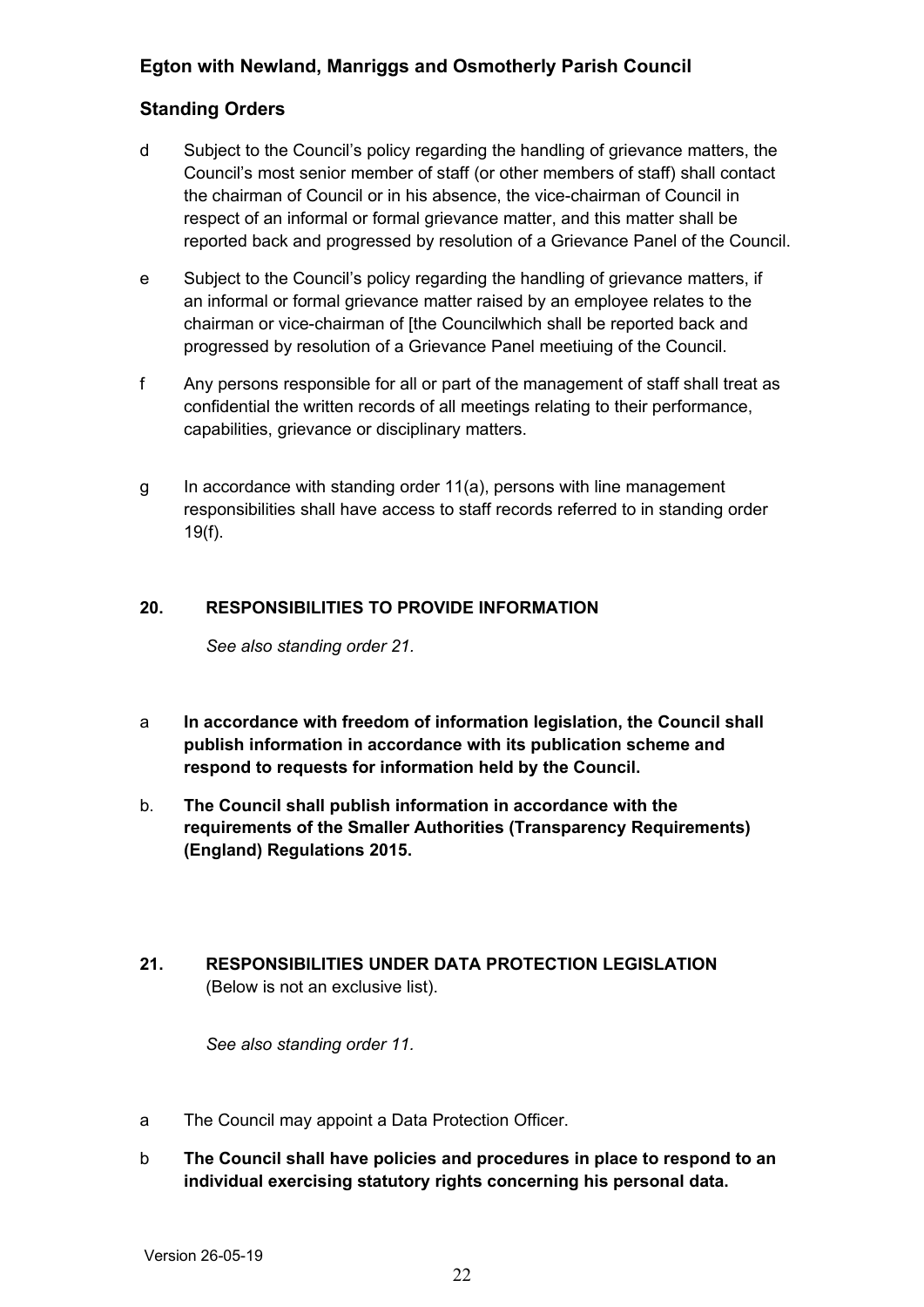## **Standing Orders**

- d Subject to the Council's policy regarding the handling of grievance matters, the Council's most senior member of staff (or other members of staff) shall contact the chairman of Council or in his absence, the vice-chairman of Council in respect of an informal or formal grievance matter, and this matter shall be reported back and progressed by resolution of a Grievance Panel of the Council.
- e Subject to the Council's policy regarding the handling of grievance matters, if an informal or formal grievance matter raised by an employee relates to the chairman or vice-chairman of [the Councilwhich shall be reported back and progressed by resolution of a Grievance Panel meetiuing of the Council.
- f Any persons responsible for all or part of the management of staff shall treat as confidential the written records of all meetings relating to their performance, capabilities, grievance or disciplinary matters.
- g In accordance with standing order 11(a), persons with line management responsibilities shall have access to staff records referred to in standing order 19(f).

#### **20. RESPONSIBILITIES TO PROVIDE INFORMATION**

<span id="page-21-1"></span>*See also standing order 21.*

- a **In accordance with freedom of information legislation, the Council shall publish information in accordance with its publication scheme and respond to requests for information held by the Council.**
- b. **The Council shall publish information in accordance with the requirements of the Smaller Authorities (Transparency Requirements) (England) Regulations 2015.**
- <span id="page-21-0"></span>**21. RESPONSIBILITIES UNDER DATA PROTECTION LEGISLATION** (Below is not an exclusive list).

*See also standing order 11.*

- a The Council may appoint a Data Protection Officer.
- b **The Council shall have policies and procedures in place to respond to an individual exercising statutory rights concerning his personal data.**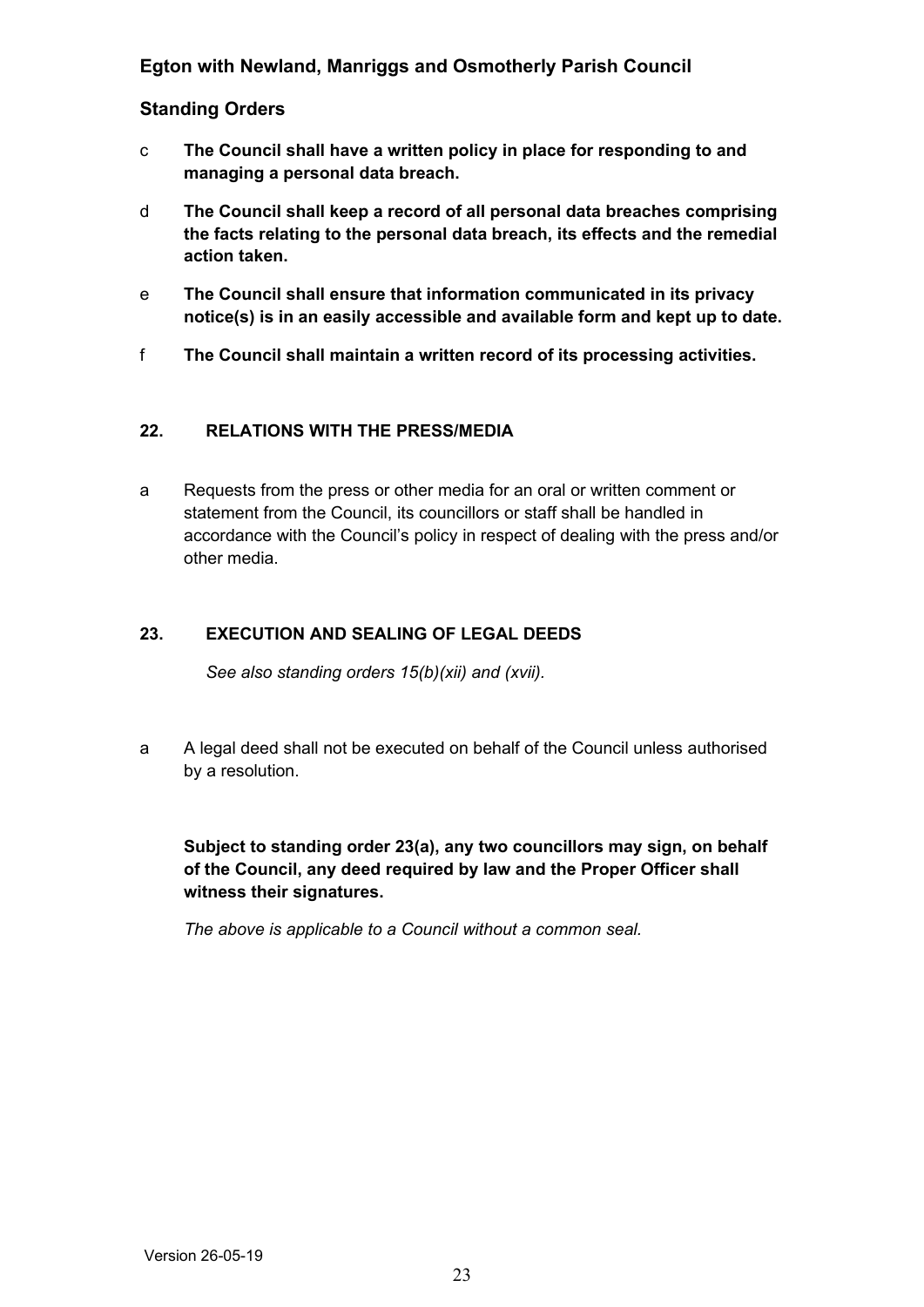#### **Standing Orders**

- c **The Council shall have a written policy in place for responding to and managing a personal data breach.**
- d **The Council shall keep a record of all personal data breaches comprising the facts relating to the personal data breach, its effects and the remedial action taken.**
- e **The Council shall ensure that information communicated in its privacy notice(s) is in an easily accessible and available form and kept up to date.**
- f **The Council shall maintain a written record of its processing activities.**

#### <span id="page-22-2"></span>**22. RELATIONS WITH THE PRESS/MEDIA**

a Requests from the press or other media for an oral or written comment or statement from the Council, its councillors or staff shall be handled in accordance with the Council's policy in respect of dealing with the press and/or other media.

#### **23. EXECUTION AND SEALING OF LEGAL DEEDS**

<span id="page-22-1"></span>*See also standing orders 15(b)(xii) and (xvii).*

a A legal deed shall not be executed on behalf of the Council unless authorised by a resolution.

**Subject to standing order 23(a), any two councillors may sign, on behalf of the Council, any deed required by law and the Proper Officer shall witness their signatures.** 

<span id="page-22-0"></span>*The above is applicable to a Council without a common seal.*